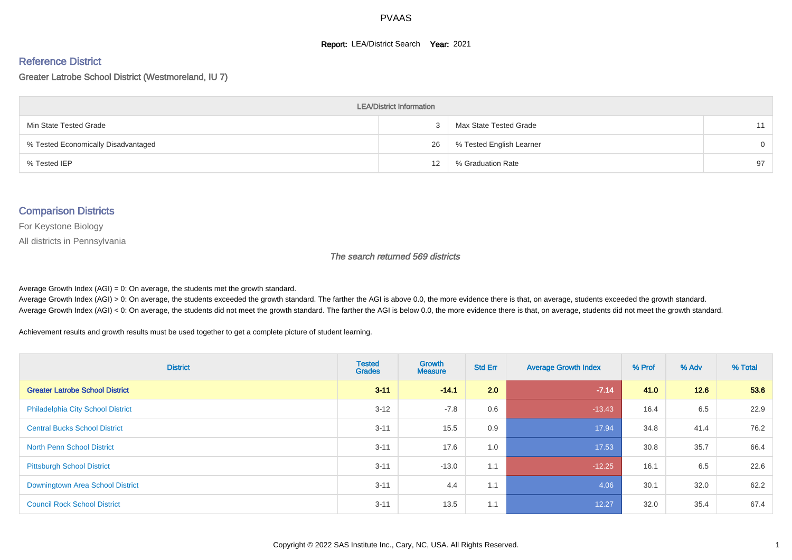#### **Report: LEA/District Search Year: 2021**

#### Reference District

Greater Latrobe School District (Westmoreland, IU 7)

| <b>LEA/District Information</b>     |    |                          |          |  |  |  |  |  |  |  |
|-------------------------------------|----|--------------------------|----------|--|--|--|--|--|--|--|
| Min State Tested Grade              |    | Max State Tested Grade   | 11       |  |  |  |  |  |  |  |
| % Tested Economically Disadvantaged | 26 | % Tested English Learner | $\Omega$ |  |  |  |  |  |  |  |
| % Tested IEP                        | 12 | % Graduation Rate        | 97       |  |  |  |  |  |  |  |

#### Comparison Districts

For Keystone Biology

All districts in Pennsylvania

The search returned 569 districts

Average Growth Index  $(AGI) = 0$ : On average, the students met the growth standard.

Average Growth Index (AGI) > 0: On average, the students exceeded the growth standard. The farther the AGI is above 0.0, the more evidence there is that, on average, students exceeded the growth standard. Average Growth Index (AGI) < 0: On average, the students did not meet the growth standard. The farther the AGI is below 0.0, the more evidence there is that, on average, students did not meet the growth standard.

Achievement results and growth results must be used together to get a complete picture of student learning.

| <b>District</b>                          | <b>Tested</b><br><b>Grades</b> | Growth<br><b>Measure</b> | <b>Std Err</b> | <b>Average Growth Index</b> | % Prof | % Adv | % Total |
|------------------------------------------|--------------------------------|--------------------------|----------------|-----------------------------|--------|-------|---------|
| <b>Greater Latrobe School District</b>   | $3 - 11$                       | $-14.1$                  | 2.0            | $-7.14$                     | 41.0   | 12.6  | 53.6    |
| <b>Philadelphia City School District</b> | $3 - 12$                       | $-7.8$                   | 0.6            | $-13.43$                    | 16.4   | 6.5   | 22.9    |
| <b>Central Bucks School District</b>     | $3 - 11$                       | 15.5                     | 0.9            | 17.94                       | 34.8   | 41.4  | 76.2    |
| <b>North Penn School District</b>        | $3 - 11$                       | 17.6                     | 1.0            | 17.53                       | 30.8   | 35.7  | 66.4    |
| <b>Pittsburgh School District</b>        | $3 - 11$                       | $-13.0$                  | 1.1            | $-12.25$                    | 16.1   | 6.5   | 22.6    |
| <b>Downingtown Area School District</b>  | $3 - 11$                       | 4.4                      | 1.1            | 4.06                        | 30.1   | 32.0  | 62.2    |
| <b>Council Rock School District</b>      | $3 - 11$                       | 13.5                     | 1.1            | 12.27                       | 32.0   | 35.4  | 67.4    |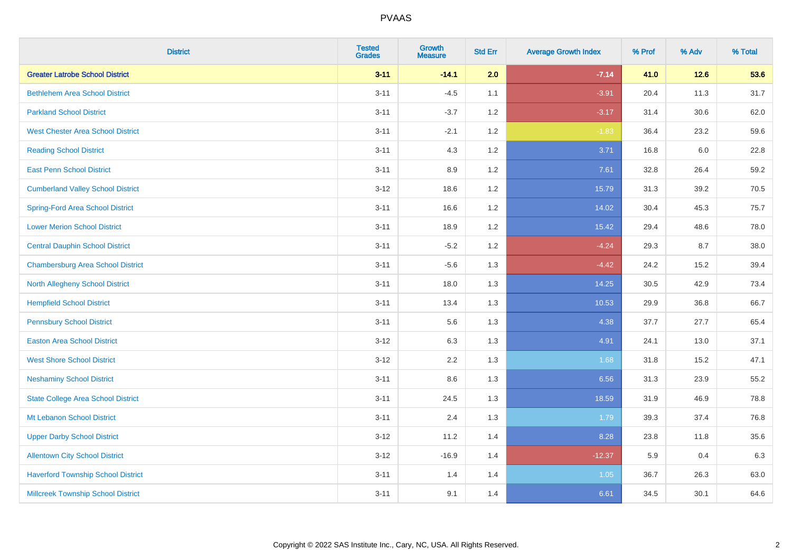| <b>District</b>                           | <b>Tested</b><br><b>Grades</b> | <b>Growth</b><br><b>Measure</b> | <b>Std Err</b> | <b>Average Growth Index</b> | % Prof | % Adv  | % Total |
|-------------------------------------------|--------------------------------|---------------------------------|----------------|-----------------------------|--------|--------|---------|
| <b>Greater Latrobe School District</b>    | $3 - 11$                       | $-14.1$                         | 2.0            | $-7.14$                     | 41.0   | $12.6$ | 53.6    |
| <b>Bethlehem Area School District</b>     | $3 - 11$                       | $-4.5$                          | 1.1            | $-3.91$                     | 20.4   | 11.3   | 31.7    |
| <b>Parkland School District</b>           | $3 - 11$                       | $-3.7$                          | 1.2            | $-3.17$                     | 31.4   | 30.6   | 62.0    |
| <b>West Chester Area School District</b>  | $3 - 11$                       | $-2.1$                          | $1.2\,$        | $-1.83$                     | 36.4   | 23.2   | 59.6    |
| <b>Reading School District</b>            | $3 - 11$                       | 4.3                             | 1.2            | 3.71                        | 16.8   | 6.0    | 22.8    |
| <b>East Penn School District</b>          | $3 - 11$                       | 8.9                             | 1.2            | 7.61                        | 32.8   | 26.4   | 59.2    |
| <b>Cumberland Valley School District</b>  | $3 - 12$                       | 18.6                            | 1.2            | 15.79                       | 31.3   | 39.2   | 70.5    |
| <b>Spring-Ford Area School District</b>   | $3 - 11$                       | 16.6                            | 1.2            | 14.02                       | 30.4   | 45.3   | 75.7    |
| <b>Lower Merion School District</b>       | $3 - 11$                       | 18.9                            | 1.2            | 15.42                       | 29.4   | 48.6   | 78.0    |
| <b>Central Dauphin School District</b>    | $3 - 11$                       | $-5.2$                          | 1.2            | $-4.24$                     | 29.3   | 8.7    | 38.0    |
| <b>Chambersburg Area School District</b>  | $3 - 11$                       | $-5.6$                          | 1.3            | $-4.42$                     | 24.2   | 15.2   | 39.4    |
| North Allegheny School District           | $3 - 11$                       | 18.0                            | 1.3            | 14.25                       | 30.5   | 42.9   | 73.4    |
| <b>Hempfield School District</b>          | $3 - 11$                       | 13.4                            | 1.3            | 10.53                       | 29.9   | 36.8   | 66.7    |
| <b>Pennsbury School District</b>          | $3 - 11$                       | 5.6                             | 1.3            | 4.38                        | 37.7   | 27.7   | 65.4    |
| <b>Easton Area School District</b>        | $3-12$                         | 6.3                             | 1.3            | 4.91                        | 24.1   | 13.0   | 37.1    |
| <b>West Shore School District</b>         | $3 - 12$                       | 2.2                             | 1.3            | 1.68                        | 31.8   | 15.2   | 47.1    |
| <b>Neshaminy School District</b>          | $3 - 11$                       | 8.6                             | 1.3            | 6.56                        | 31.3   | 23.9   | 55.2    |
| <b>State College Area School District</b> | $3 - 11$                       | 24.5                            | 1.3            | 18.59                       | 31.9   | 46.9   | 78.8    |
| Mt Lebanon School District                | $3 - 11$                       | 2.4                             | 1.3            | 1.79                        | 39.3   | 37.4   | 76.8    |
| <b>Upper Darby School District</b>        | $3-12$                         | 11.2                            | 1.4            | 8.28                        | 23.8   | 11.8   | 35.6    |
| <b>Allentown City School District</b>     | $3-12$                         | $-16.9$                         | 1.4            | $-12.37$                    | 5.9    | 0.4    | 6.3     |
| <b>Haverford Township School District</b> | $3 - 11$                       | 1.4                             | 1.4            | 1.05                        | 36.7   | 26.3   | 63.0    |
| <b>Millcreek Township School District</b> | $3 - 11$                       | 9.1                             | 1.4            | 6.61                        | 34.5   | 30.1   | 64.6    |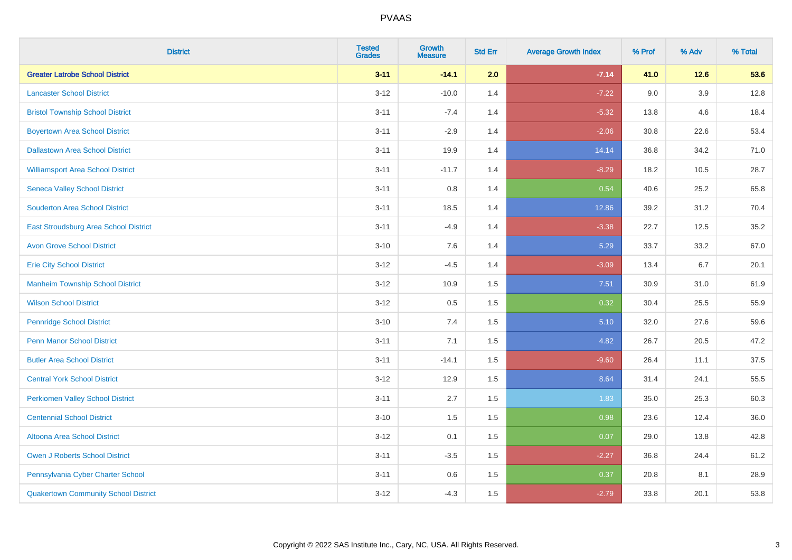| <b>District</b>                             | <b>Tested</b><br><b>Grades</b> | <b>Growth</b><br><b>Measure</b> | <b>Std Err</b> | <b>Average Growth Index</b> | % Prof | % Adv  | % Total |
|---------------------------------------------|--------------------------------|---------------------------------|----------------|-----------------------------|--------|--------|---------|
| <b>Greater Latrobe School District</b>      | $3 - 11$                       | $-14.1$                         | 2.0            | $-7.14$                     | 41.0   | $12.6$ | 53.6    |
| <b>Lancaster School District</b>            | $3 - 12$                       | $-10.0$                         | 1.4            | $-7.22$                     | 9.0    | 3.9    | 12.8    |
| <b>Bristol Township School District</b>     | $3 - 11$                       | $-7.4$                          | 1.4            | $-5.32$                     | 13.8   | 4.6    | 18.4    |
| <b>Boyertown Area School District</b>       | $3 - 11$                       | $-2.9$                          | 1.4            | $-2.06$                     | 30.8   | 22.6   | 53.4    |
| <b>Dallastown Area School District</b>      | $3 - 11$                       | 19.9                            | 1.4            | 14.14                       | 36.8   | 34.2   | 71.0    |
| <b>Williamsport Area School District</b>    | $3 - 11$                       | $-11.7$                         | 1.4            | $-8.29$                     | 18.2   | 10.5   | 28.7    |
| <b>Seneca Valley School District</b>        | $3 - 11$                       | 0.8                             | 1.4            | 0.54                        | 40.6   | 25.2   | 65.8    |
| <b>Souderton Area School District</b>       | $3 - 11$                       | 18.5                            | 1.4            | 12.86                       | 39.2   | 31.2   | 70.4    |
| East Stroudsburg Area School District       | $3 - 11$                       | $-4.9$                          | 1.4            | $-3.38$                     | 22.7   | 12.5   | 35.2    |
| <b>Avon Grove School District</b>           | $3 - 10$                       | 7.6                             | 1.4            | 5.29                        | 33.7   | 33.2   | 67.0    |
| <b>Erie City School District</b>            | $3-12$                         | $-4.5$                          | 1.4            | $-3.09$                     | 13.4   | 6.7    | 20.1    |
| <b>Manheim Township School District</b>     | $3-12$                         | 10.9                            | 1.5            | 7.51                        | 30.9   | 31.0   | 61.9    |
| <b>Wilson School District</b>               | $3 - 12$                       | 0.5                             | 1.5            | 0.32                        | 30.4   | 25.5   | 55.9    |
| <b>Pennridge School District</b>            | $3 - 10$                       | 7.4                             | 1.5            | 5.10                        | 32.0   | 27.6   | 59.6    |
| <b>Penn Manor School District</b>           | $3 - 11$                       | 7.1                             | 1.5            | 4.82                        | 26.7   | 20.5   | 47.2    |
| <b>Butler Area School District</b>          | $3 - 11$                       | $-14.1$                         | 1.5            | $-9.60$                     | 26.4   | 11.1   | 37.5    |
| <b>Central York School District</b>         | $3-12$                         | 12.9                            | 1.5            | 8.64                        | 31.4   | 24.1   | 55.5    |
| <b>Perkiomen Valley School District</b>     | $3 - 11$                       | 2.7                             | 1.5            | 1.83                        | 35.0   | 25.3   | 60.3    |
| <b>Centennial School District</b>           | $3 - 10$                       | 1.5                             | 1.5            | 0.98                        | 23.6   | 12.4   | 36.0    |
| Altoona Area School District                | $3-12$                         | 0.1                             | 1.5            | 0.07                        | 29.0   | 13.8   | 42.8    |
| <b>Owen J Roberts School District</b>       | $3 - 11$                       | $-3.5$                          | 1.5            | $-2.27$                     | 36.8   | 24.4   | 61.2    |
| Pennsylvania Cyber Charter School           | $3 - 11$                       | 0.6                             | 1.5            | 0.37                        | 20.8   | 8.1    | 28.9    |
| <b>Quakertown Community School District</b> | $3-12$                         | $-4.3$                          | 1.5            | $-2.79$                     | 33.8   | 20.1   | 53.8    |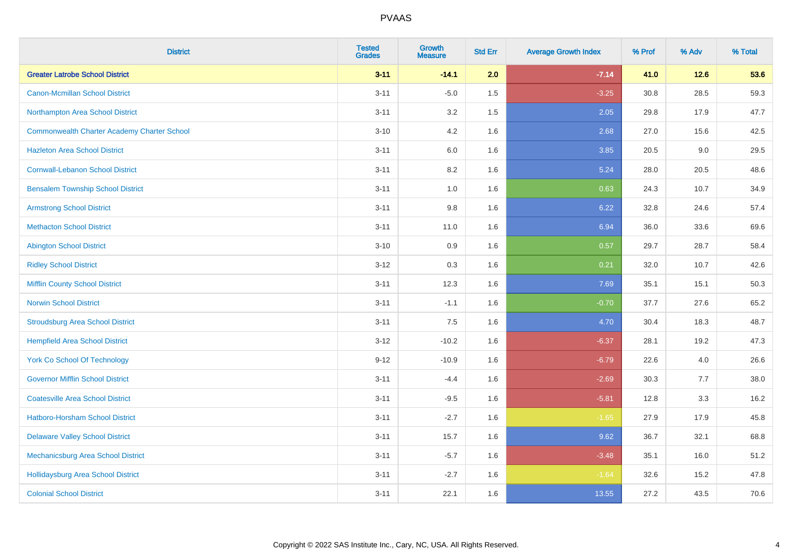| <b>District</b>                                    | <b>Tested</b><br><b>Grades</b> | Growth<br><b>Measure</b> | <b>Std Err</b> | <b>Average Growth Index</b> | % Prof | % Adv  | % Total |
|----------------------------------------------------|--------------------------------|--------------------------|----------------|-----------------------------|--------|--------|---------|
| <b>Greater Latrobe School District</b>             | $3 - 11$                       | $-14.1$                  | 2.0            | $-7.14$                     | 41.0   | $12.6$ | 53.6    |
| <b>Canon-Mcmillan School District</b>              | $3 - 11$                       | $-5.0$                   | 1.5            | $-3.25$                     | 30.8   | 28.5   | 59.3    |
| Northampton Area School District                   | $3 - 11$                       | 3.2                      | 1.5            | 2.05                        | 29.8   | 17.9   | 47.7    |
| <b>Commonwealth Charter Academy Charter School</b> | $3 - 10$                       | 4.2                      | 1.6            | 2.68                        | 27.0   | 15.6   | 42.5    |
| <b>Hazleton Area School District</b>               | $3 - 11$                       | 6.0                      | 1.6            | 3.85                        | 20.5   | 9.0    | 29.5    |
| <b>Cornwall-Lebanon School District</b>            | $3 - 11$                       | 8.2                      | 1.6            | 5.24                        | 28.0   | 20.5   | 48.6    |
| <b>Bensalem Township School District</b>           | $3 - 11$                       | 1.0                      | 1.6            | 0.63                        | 24.3   | 10.7   | 34.9    |
| <b>Armstrong School District</b>                   | $3 - 11$                       | $9.8\,$                  | 1.6            | 6.22                        | 32.8   | 24.6   | 57.4    |
| <b>Methacton School District</b>                   | $3 - 11$                       | 11.0                     | 1.6            | 6.94                        | 36.0   | 33.6   | 69.6    |
| <b>Abington School District</b>                    | $3 - 10$                       | 0.9                      | 1.6            | 0.57                        | 29.7   | 28.7   | 58.4    |
| <b>Ridley School District</b>                      | $3-12$                         | 0.3                      | 1.6            | 0.21                        | 32.0   | 10.7   | 42.6    |
| <b>Mifflin County School District</b>              | $3 - 11$                       | 12.3                     | 1.6            | 7.69                        | 35.1   | 15.1   | 50.3    |
| <b>Norwin School District</b>                      | $3 - 11$                       | $-1.1$                   | 1.6            | $-0.70$                     | 37.7   | 27.6   | 65.2    |
| <b>Stroudsburg Area School District</b>            | $3 - 11$                       | 7.5                      | 1.6            | 4.70                        | 30.4   | 18.3   | 48.7    |
| <b>Hempfield Area School District</b>              | $3 - 12$                       | $-10.2$                  | 1.6            | $-6.37$                     | 28.1   | 19.2   | 47.3    |
| <b>York Co School Of Technology</b>                | $9 - 12$                       | $-10.9$                  | 1.6            | $-6.79$                     | 22.6   | 4.0    | 26.6    |
| <b>Governor Mifflin School District</b>            | $3 - 11$                       | $-4.4$                   | 1.6            | $-2.69$                     | 30.3   | 7.7    | 38.0    |
| <b>Coatesville Area School District</b>            | $3 - 11$                       | $-9.5$                   | 1.6            | $-5.81$                     | 12.8   | 3.3    | 16.2    |
| <b>Hatboro-Horsham School District</b>             | $3 - 11$                       | $-2.7$                   | 1.6            | $-1.65$                     | 27.9   | 17.9   | 45.8    |
| <b>Delaware Valley School District</b>             | $3 - 11$                       | 15.7                     | 1.6            | 9.62                        | 36.7   | 32.1   | 68.8    |
| Mechanicsburg Area School District                 | $3 - 11$                       | $-5.7$                   | 1.6            | $-3.48$                     | 35.1   | 16.0   | 51.2    |
| <b>Hollidaysburg Area School District</b>          | $3 - 11$                       | $-2.7$                   | 1.6            | $-1.64$                     | 32.6   | 15.2   | 47.8    |
| <b>Colonial School District</b>                    | $3 - 11$                       | 22.1                     | 1.6            | 13.55                       | 27.2   | 43.5   | 70.6    |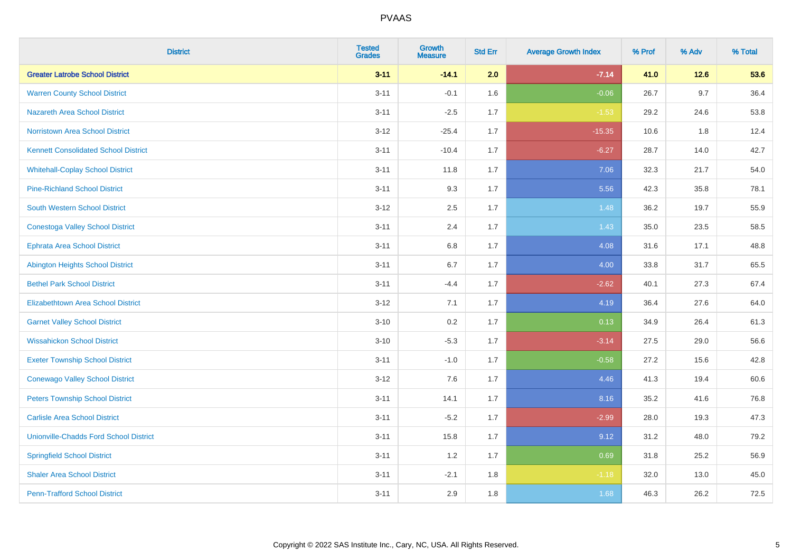| <b>District</b>                               | <b>Tested</b><br><b>Grades</b> | Growth<br><b>Measure</b> | <b>Std Err</b> | <b>Average Growth Index</b> | % Prof | % Adv   | % Total |
|-----------------------------------------------|--------------------------------|--------------------------|----------------|-----------------------------|--------|---------|---------|
| <b>Greater Latrobe School District</b>        | $3 - 11$                       | $-14.1$                  | 2.0            | $-7.14$                     | 41.0   | $12.6$  | 53.6    |
| <b>Warren County School District</b>          | $3 - 11$                       | $-0.1$                   | 1.6            | $-0.06$                     | 26.7   | 9.7     | 36.4    |
| <b>Nazareth Area School District</b>          | $3 - 11$                       | $-2.5$                   | 1.7            | $-1.53$                     | 29.2   | 24.6    | 53.8    |
| Norristown Area School District               | $3-12$                         | $-25.4$                  | 1.7            | $-15.35$                    | 10.6   | $1.8\,$ | 12.4    |
| <b>Kennett Consolidated School District</b>   | $3 - 11$                       | $-10.4$                  | 1.7            | $-6.27$                     | 28.7   | 14.0    | 42.7    |
| <b>Whitehall-Coplay School District</b>       | $3 - 11$                       | 11.8                     | 1.7            | 7.06                        | 32.3   | 21.7    | 54.0    |
| <b>Pine-Richland School District</b>          | $3 - 11$                       | 9.3                      | 1.7            | 5.56                        | 42.3   | 35.8    | 78.1    |
| <b>South Western School District</b>          | $3 - 12$                       | 2.5                      | 1.7            | 1.48                        | 36.2   | 19.7    | 55.9    |
| <b>Conestoga Valley School District</b>       | $3 - 11$                       | 2.4                      | 1.7            | 1.43                        | 35.0   | 23.5    | 58.5    |
| <b>Ephrata Area School District</b>           | $3 - 11$                       | 6.8                      | 1.7            | 4.08                        | 31.6   | 17.1    | 48.8    |
| <b>Abington Heights School District</b>       | $3 - 11$                       | 6.7                      | 1.7            | 4.00                        | 33.8   | 31.7    | 65.5    |
| <b>Bethel Park School District</b>            | $3 - 11$                       | $-4.4$                   | 1.7            | $-2.62$                     | 40.1   | 27.3    | 67.4    |
| Elizabethtown Area School District            | $3 - 12$                       | 7.1                      | 1.7            | 4.19                        | 36.4   | 27.6    | 64.0    |
| <b>Garnet Valley School District</b>          | $3 - 10$                       | 0.2                      | 1.7            | 0.13                        | 34.9   | 26.4    | 61.3    |
| <b>Wissahickon School District</b>            | $3 - 10$                       | $-5.3$                   | 1.7            | $-3.14$                     | 27.5   | 29.0    | 56.6    |
| <b>Exeter Township School District</b>        | $3 - 11$                       | $-1.0$                   | 1.7            | $-0.58$                     | 27.2   | 15.6    | 42.8    |
| <b>Conewago Valley School District</b>        | $3 - 12$                       | 7.6                      | 1.7            | 4.46                        | 41.3   | 19.4    | 60.6    |
| <b>Peters Township School District</b>        | $3 - 11$                       | 14.1                     | 1.7            | 8.16                        | 35.2   | 41.6    | 76.8    |
| <b>Carlisle Area School District</b>          | $3 - 11$                       | $-5.2$                   | 1.7            | $-2.99$                     | 28.0   | 19.3    | 47.3    |
| <b>Unionville-Chadds Ford School District</b> | $3 - 11$                       | 15.8                     | 1.7            | 9.12                        | 31.2   | 48.0    | 79.2    |
| <b>Springfield School District</b>            | $3 - 11$                       | 1.2                      | 1.7            | 0.69                        | 31.8   | 25.2    | 56.9    |
| <b>Shaler Area School District</b>            | $3 - 11$                       | $-2.1$                   | 1.8            | $-1.18$                     | 32.0   | 13.0    | 45.0    |
| <b>Penn-Trafford School District</b>          | $3 - 11$                       | 2.9                      | 1.8            | 1.68                        | 46.3   | 26.2    | 72.5    |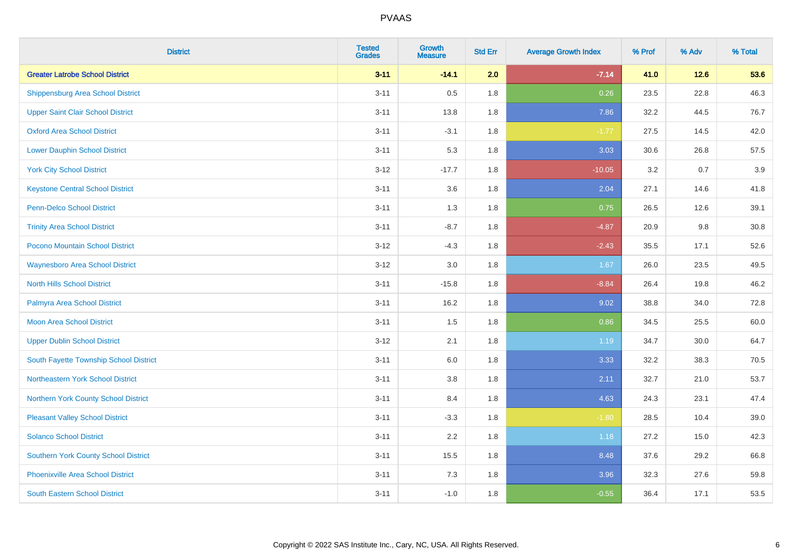| <b>District</b>                             | <b>Tested</b><br><b>Grades</b> | Growth<br><b>Measure</b> | <b>Std Err</b> | <b>Average Growth Index</b> | % Prof | % Adv  | % Total |
|---------------------------------------------|--------------------------------|--------------------------|----------------|-----------------------------|--------|--------|---------|
| <b>Greater Latrobe School District</b>      | $3 - 11$                       | $-14.1$                  | 2.0            | $-7.14$                     | 41.0   | $12.6$ | 53.6    |
| <b>Shippensburg Area School District</b>    | $3 - 11$                       | 0.5                      | 1.8            | 0.26                        | 23.5   | 22.8   | 46.3    |
| <b>Upper Saint Clair School District</b>    | $3 - 11$                       | 13.8                     | 1.8            | 7.86                        | 32.2   | 44.5   | 76.7    |
| <b>Oxford Area School District</b>          | $3 - 11$                       | $-3.1$                   | 1.8            | $-1.77$                     | 27.5   | 14.5   | 42.0    |
| <b>Lower Dauphin School District</b>        | $3 - 11$                       | 5.3                      | 1.8            | 3.03                        | 30.6   | 26.8   | 57.5    |
| <b>York City School District</b>            | $3 - 12$                       | $-17.7$                  | 1.8            | $-10.05$                    | 3.2    | 0.7    | 3.9     |
| <b>Keystone Central School District</b>     | $3 - 11$                       | 3.6                      | 1.8            | 2.04                        | 27.1   | 14.6   | 41.8    |
| <b>Penn-Delco School District</b>           | $3 - 11$                       | 1.3                      | 1.8            | 0.75                        | 26.5   | 12.6   | 39.1    |
| <b>Trinity Area School District</b>         | $3 - 11$                       | $-8.7$                   | 1.8            | $-4.87$                     | 20.9   | 9.8    | 30.8    |
| <b>Pocono Mountain School District</b>      | $3 - 12$                       | $-4.3$                   | 1.8            | $-2.43$                     | 35.5   | 17.1   | 52.6    |
| <b>Waynesboro Area School District</b>      | $3 - 12$                       | 3.0                      | 1.8            | 1.67                        | 26.0   | 23.5   | 49.5    |
| <b>North Hills School District</b>          | $3 - 11$                       | $-15.8$                  | 1.8            | $-8.84$                     | 26.4   | 19.8   | 46.2    |
| Palmyra Area School District                | $3 - 11$                       | 16.2                     | 1.8            | 9.02                        | 38.8   | 34.0   | 72.8    |
| Moon Area School District                   | $3 - 11$                       | 1.5                      | 1.8            | 0.86                        | 34.5   | 25.5   | 60.0    |
| <b>Upper Dublin School District</b>         | $3 - 12$                       | 2.1                      | 1.8            | 1.19                        | 34.7   | 30.0   | 64.7    |
| South Fayette Township School District      | $3 - 11$                       | $6.0\,$                  | 1.8            | 3.33                        | 32.2   | 38.3   | 70.5    |
| Northeastern York School District           | $3 - 11$                       | 3.8                      | 1.8            | 2.11                        | 32.7   | 21.0   | 53.7    |
| Northern York County School District        | $3 - 11$                       | 8.4                      | 1.8            | 4.63                        | 24.3   | 23.1   | 47.4    |
| <b>Pleasant Valley School District</b>      | $3 - 11$                       | $-3.3$                   | 1.8            | $-1.80$                     | 28.5   | 10.4   | 39.0    |
| <b>Solanco School District</b>              | $3 - 11$                       | 2.2                      | 1.8            | 1.18                        | 27.2   | 15.0   | 42.3    |
| <b>Southern York County School District</b> | $3 - 11$                       | 15.5                     | 1.8            | 8.48                        | 37.6   | 29.2   | 66.8    |
| <b>Phoenixville Area School District</b>    | $3 - 11$                       | 7.3                      | 1.8            | 3.96                        | 32.3   | 27.6   | 59.8    |
| <b>South Eastern School District</b>        | $3 - 11$                       | $-1.0$                   | 1.8            | $-0.55$                     | 36.4   | 17.1   | 53.5    |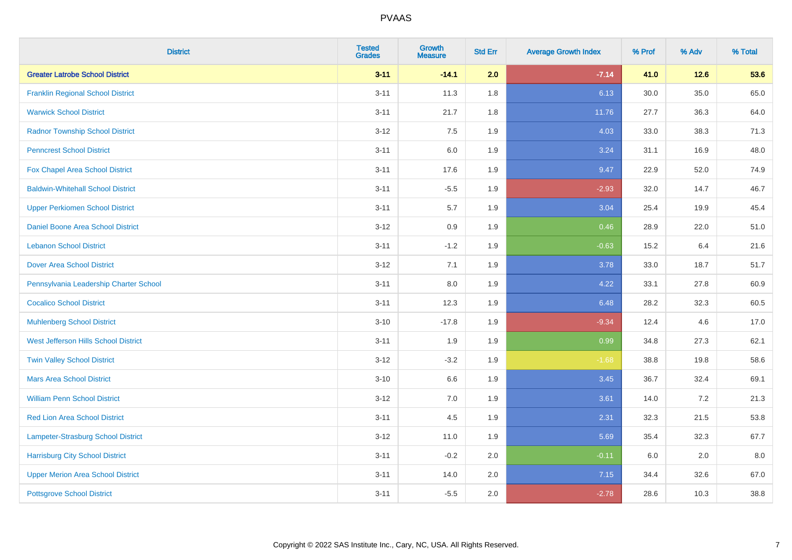| <b>District</b>                           | <b>Tested</b><br><b>Grades</b> | Growth<br><b>Measure</b> | <b>Std Err</b> | <b>Average Growth Index</b> | % Prof | % Adv  | % Total |
|-------------------------------------------|--------------------------------|--------------------------|----------------|-----------------------------|--------|--------|---------|
| <b>Greater Latrobe School District</b>    | $3 - 11$                       | $-14.1$                  | 2.0            | $-7.14$                     | 41.0   | $12.6$ | 53.6    |
| <b>Franklin Regional School District</b>  | $3 - 11$                       | 11.3                     | 1.8            | 6.13                        | 30.0   | 35.0   | 65.0    |
| <b>Warwick School District</b>            | $3 - 11$                       | 21.7                     | 1.8            | 11.76                       | 27.7   | 36.3   | 64.0    |
| <b>Radnor Township School District</b>    | $3 - 12$                       | 7.5                      | 1.9            | 4.03                        | 33.0   | 38.3   | 71.3    |
| <b>Penncrest School District</b>          | $3 - 11$                       | 6.0                      | 1.9            | 3.24                        | 31.1   | 16.9   | 48.0    |
| Fox Chapel Area School District           | $3 - 11$                       | 17.6                     | 1.9            | 9.47                        | 22.9   | 52.0   | 74.9    |
| <b>Baldwin-Whitehall School District</b>  | $3 - 11$                       | $-5.5$                   | 1.9            | $-2.93$                     | 32.0   | 14.7   | 46.7    |
| <b>Upper Perkiomen School District</b>    | $3 - 11$                       | 5.7                      | 1.9            | 3.04                        | 25.4   | 19.9   | 45.4    |
| Daniel Boone Area School District         | $3 - 12$                       | $0.9\,$                  | 1.9            | 0.46                        | 28.9   | 22.0   | 51.0    |
| <b>Lebanon School District</b>            | $3 - 11$                       | $-1.2$                   | 1.9            | $-0.63$                     | 15.2   | 6.4    | 21.6    |
| <b>Dover Area School District</b>         | $3 - 12$                       | 7.1                      | 1.9            | 3.78                        | 33.0   | 18.7   | 51.7    |
| Pennsylvania Leadership Charter School    | $3 - 11$                       | 8.0                      | 1.9            | 4.22                        | 33.1   | 27.8   | 60.9    |
| <b>Cocalico School District</b>           | $3 - 11$                       | 12.3                     | 1.9            | 6.48                        | 28.2   | 32.3   | 60.5    |
| <b>Muhlenberg School District</b>         | $3 - 10$                       | $-17.8$                  | 1.9            | $-9.34$                     | 12.4   | 4.6    | 17.0    |
| West Jefferson Hills School District      | $3 - 11$                       | 1.9                      | 1.9            | 0.99                        | 34.8   | 27.3   | 62.1    |
| <b>Twin Valley School District</b>        | $3 - 12$                       | $-3.2$                   | 1.9            | $-1.68$                     | 38.8   | 19.8   | 58.6    |
| <b>Mars Area School District</b>          | $3 - 10$                       | 6.6                      | 1.9            | 3.45                        | 36.7   | 32.4   | 69.1    |
| <b>William Penn School District</b>       | $3 - 12$                       | 7.0                      | 1.9            | 3.61                        | 14.0   | 7.2    | 21.3    |
| Red Lion Area School District             | $3 - 11$                       | 4.5                      | 1.9            | 2.31                        | 32.3   | 21.5   | 53.8    |
| <b>Lampeter-Strasburg School District</b> | $3 - 12$                       | 11.0                     | 1.9            | 5.69                        | 35.4   | 32.3   | 67.7    |
| <b>Harrisburg City School District</b>    | $3 - 11$                       | $-0.2$                   | 2.0            | $-0.11$                     | 6.0    | 2.0    | 8.0     |
| <b>Upper Merion Area School District</b>  | $3 - 11$                       | 14.0                     | 2.0            | 7.15                        | 34.4   | 32.6   | 67.0    |
| <b>Pottsgrove School District</b>         | $3 - 11$                       | $-5.5$                   | 2.0            | $-2.78$                     | 28.6   | 10.3   | 38.8    |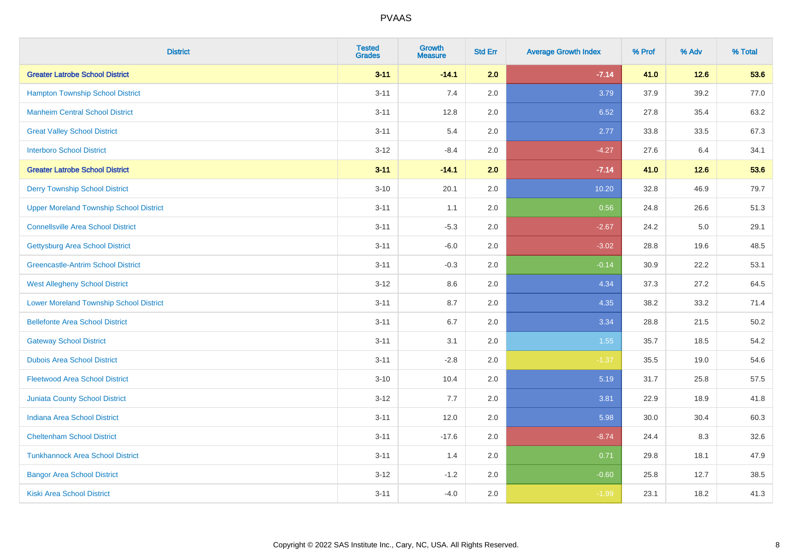| <b>District</b>                                | <b>Tested</b><br><b>Grades</b> | <b>Growth</b><br><b>Measure</b> | <b>Std Err</b> | <b>Average Growth Index</b> | % Prof | % Adv | % Total |
|------------------------------------------------|--------------------------------|---------------------------------|----------------|-----------------------------|--------|-------|---------|
| <b>Greater Latrobe School District</b>         | $3 - 11$                       | $-14.1$                         | 2.0            | $-7.14$                     | 41.0   | 12.6  | 53.6    |
| <b>Hampton Township School District</b>        | $3 - 11$                       | 7.4                             | 2.0            | 3.79                        | 37.9   | 39.2  | 77.0    |
| <b>Manheim Central School District</b>         | $3 - 11$                       | 12.8                            | 2.0            | 6.52                        | 27.8   | 35.4  | 63.2    |
| <b>Great Valley School District</b>            | $3 - 11$                       | 5.4                             | 2.0            | 2.77                        | 33.8   | 33.5  | 67.3    |
| <b>Interboro School District</b>               | $3-12$                         | $-8.4$                          | 2.0            | $-4.27$                     | 27.6   | 6.4   | 34.1    |
| <b>Greater Latrobe School District</b>         | $3 - 11$                       | $-14.1$                         | 2.0            | $-7.14$                     | 41.0   | 12.6  | 53.6    |
| <b>Derry Township School District</b>          | $3 - 10$                       | 20.1                            | 2.0            | 10.20                       | 32.8   | 46.9  | 79.7    |
| <b>Upper Moreland Township School District</b> | $3 - 11$                       | 1.1                             | 2.0            | 0.56                        | 24.8   | 26.6  | 51.3    |
| <b>Connellsville Area School District</b>      | $3 - 11$                       | $-5.3$                          | 2.0            | $-2.67$                     | 24.2   | 5.0   | 29.1    |
| <b>Gettysburg Area School District</b>         | $3 - 11$                       | $-6.0$                          | 2.0            | $-3.02$                     | 28.8   | 19.6  | 48.5    |
| <b>Greencastle-Antrim School District</b>      | $3 - 11$                       | $-0.3$                          | 2.0            | $-0.14$                     | 30.9   | 22.2  | 53.1    |
| <b>West Allegheny School District</b>          | $3 - 12$                       | 8.6                             | 2.0            | 4.34                        | 37.3   | 27.2  | 64.5    |
| <b>Lower Moreland Township School District</b> | $3 - 11$                       | 8.7                             | 2.0            | 4.35                        | 38.2   | 33.2  | 71.4    |
| <b>Bellefonte Area School District</b>         | $3 - 11$                       | 6.7                             | 2.0            | 3.34                        | 28.8   | 21.5  | 50.2    |
| <b>Gateway School District</b>                 | $3 - 11$                       | 3.1                             | 2.0            | 1.55                        | 35.7   | 18.5  | 54.2    |
| <b>Dubois Area School District</b>             | $3 - 11$                       | $-2.8$                          | 2.0            | $-1.37$                     | 35.5   | 19.0  | 54.6    |
| <b>Fleetwood Area School District</b>          | $3 - 10$                       | 10.4                            | 2.0            | 5.19                        | 31.7   | 25.8  | 57.5    |
| Juniata County School District                 | $3 - 12$                       | 7.7                             | 2.0            | 3.81                        | 22.9   | 18.9  | 41.8    |
| <b>Indiana Area School District</b>            | $3 - 11$                       | 12.0                            | 2.0            | 5.98                        | 30.0   | 30.4  | 60.3    |
| <b>Cheltenham School District</b>              | $3 - 11$                       | $-17.6$                         | 2.0            | $-8.74$                     | 24.4   | 8.3   | 32.6    |
| <b>Tunkhannock Area School District</b>        | $3 - 11$                       | 1.4                             | 2.0            | 0.71                        | 29.8   | 18.1  | 47.9    |
| <b>Bangor Area School District</b>             | $3 - 12$                       | $-1.2$                          | 2.0            | $-0.60$                     | 25.8   | 12.7  | 38.5    |
| <b>Kiski Area School District</b>              | $3 - 11$                       | $-4.0$                          | 2.0            | $-1.99$                     | 23.1   | 18.2  | 41.3    |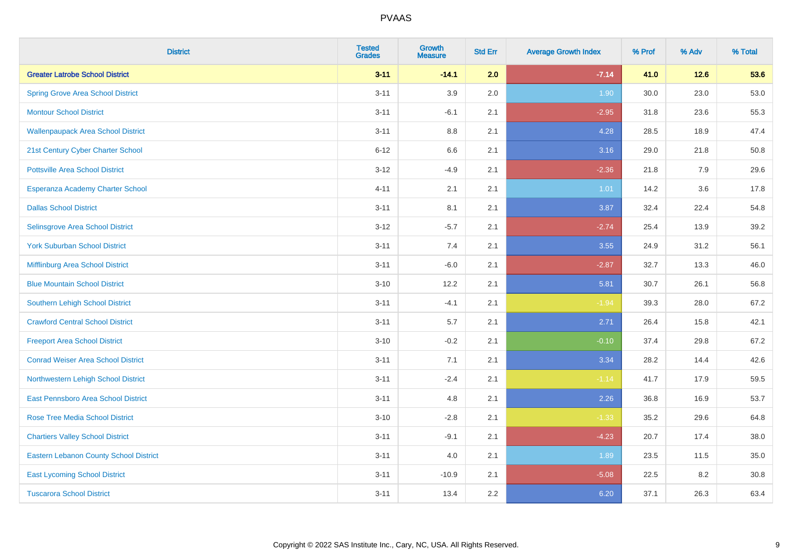| <b>District</b>                               | <b>Tested</b><br><b>Grades</b> | <b>Growth</b><br><b>Measure</b> | <b>Std Err</b> | <b>Average Growth Index</b> | % Prof | % Adv  | % Total |
|-----------------------------------------------|--------------------------------|---------------------------------|----------------|-----------------------------|--------|--------|---------|
| <b>Greater Latrobe School District</b>        | $3 - 11$                       | $-14.1$                         | 2.0            | $-7.14$                     | 41.0   | $12.6$ | 53.6    |
| <b>Spring Grove Area School District</b>      | $3 - 11$                       | 3.9                             | 2.0            | 1.90                        | 30.0   | 23.0   | 53.0    |
| <b>Montour School District</b>                | $3 - 11$                       | $-6.1$                          | 2.1            | $-2.95$                     | 31.8   | 23.6   | 55.3    |
| <b>Wallenpaupack Area School District</b>     | $3 - 11$                       | $8.8\,$                         | 2.1            | 4.28                        | 28.5   | 18.9   | 47.4    |
| 21st Century Cyber Charter School             | $6 - 12$                       | 6.6                             | 2.1            | 3.16                        | 29.0   | 21.8   | 50.8    |
| <b>Pottsville Area School District</b>        | $3 - 12$                       | $-4.9$                          | 2.1            | $-2.36$                     | 21.8   | 7.9    | 29.6    |
| Esperanza Academy Charter School              | $4 - 11$                       | 2.1                             | 2.1            | 1.01                        | 14.2   | 3.6    | 17.8    |
| <b>Dallas School District</b>                 | $3 - 11$                       | 8.1                             | 2.1            | 3.87                        | 32.4   | 22.4   | 54.8    |
| Selinsgrove Area School District              | $3 - 12$                       | $-5.7$                          | 2.1            | $-2.74$                     | 25.4   | 13.9   | 39.2    |
| <b>York Suburban School District</b>          | $3 - 11$                       | 7.4                             | 2.1            | 3.55                        | 24.9   | 31.2   | 56.1    |
| Mifflinburg Area School District              | $3 - 11$                       | $-6.0$                          | 2.1            | $-2.87$                     | 32.7   | 13.3   | 46.0    |
| <b>Blue Mountain School District</b>          | $3 - 10$                       | 12.2                            | 2.1            | 5.81                        | 30.7   | 26.1   | 56.8    |
| <b>Southern Lehigh School District</b>        | $3 - 11$                       | $-4.1$                          | 2.1            | $-1.94$                     | 39.3   | 28.0   | 67.2    |
| <b>Crawford Central School District</b>       | $3 - 11$                       | 5.7                             | 2.1            | 2.71                        | 26.4   | 15.8   | 42.1    |
| <b>Freeport Area School District</b>          | $3 - 10$                       | $-0.2$                          | 2.1            | $-0.10$                     | 37.4   | 29.8   | 67.2    |
| <b>Conrad Weiser Area School District</b>     | $3 - 11$                       | 7.1                             | 2.1            | 3.34                        | 28.2   | 14.4   | 42.6    |
| Northwestern Lehigh School District           | $3 - 11$                       | $-2.4$                          | 2.1            | $-1.14$                     | 41.7   | 17.9   | 59.5    |
| East Pennsboro Area School District           | $3 - 11$                       | 4.8                             | 2.1            | 2.26                        | 36.8   | 16.9   | 53.7    |
| <b>Rose Tree Media School District</b>        | $3 - 10$                       | $-2.8$                          | 2.1            | $-1.33$                     | 35.2   | 29.6   | 64.8    |
| <b>Chartiers Valley School District</b>       | $3 - 11$                       | $-9.1$                          | 2.1            | $-4.23$                     | 20.7   | 17.4   | 38.0    |
| <b>Eastern Lebanon County School District</b> | $3 - 11$                       | 4.0                             | 2.1            | 1.89                        | 23.5   | 11.5   | 35.0    |
| <b>East Lycoming School District</b>          | $3 - 11$                       | $-10.9$                         | 2.1            | $-5.08$                     | 22.5   | 8.2    | 30.8    |
| <b>Tuscarora School District</b>              | $3 - 11$                       | 13.4                            | 2.2            | 6.20                        | 37.1   | 26.3   | 63.4    |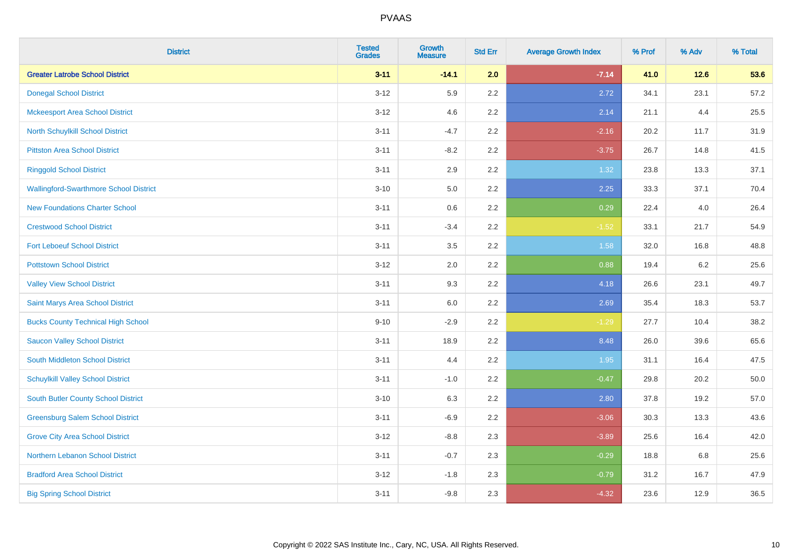| <b>District</b>                               | <b>Tested</b><br><b>Grades</b> | <b>Growth</b><br><b>Measure</b> | <b>Std Err</b> | <b>Average Growth Index</b> | % Prof | % Adv   | % Total |
|-----------------------------------------------|--------------------------------|---------------------------------|----------------|-----------------------------|--------|---------|---------|
| <b>Greater Latrobe School District</b>        | $3 - 11$                       | $-14.1$                         | 2.0            | $-7.14$                     | 41.0   | $12.6$  | 53.6    |
| <b>Donegal School District</b>                | $3 - 12$                       | 5.9                             | 2.2            | 2.72                        | 34.1   | 23.1    | 57.2    |
| <b>Mckeesport Area School District</b>        | $3 - 12$                       | 4.6                             | 2.2            | 2.14                        | 21.1   | 4.4     | 25.5    |
| North Schuylkill School District              | $3 - 11$                       | $-4.7$                          | 2.2            | $-2.16$                     | 20.2   | 11.7    | 31.9    |
| <b>Pittston Area School District</b>          | $3 - 11$                       | $-8.2$                          | 2.2            | $-3.75$                     | 26.7   | 14.8    | 41.5    |
| <b>Ringgold School District</b>               | $3 - 11$                       | 2.9                             | 2.2            | 1.32                        | 23.8   | 13.3    | 37.1    |
| <b>Wallingford-Swarthmore School District</b> | $3 - 10$                       | 5.0                             | 2.2            | 2.25                        | 33.3   | 37.1    | 70.4    |
| <b>New Foundations Charter School</b>         | $3 - 11$                       | 0.6                             | 2.2            | 0.29                        | 22.4   | 4.0     | 26.4    |
| <b>Crestwood School District</b>              | $3 - 11$                       | $-3.4$                          | 2.2            | $-1.52$                     | 33.1   | 21.7    | 54.9    |
| <b>Fort Leboeuf School District</b>           | $3 - 11$                       | 3.5                             | 2.2            | 1.58                        | 32.0   | 16.8    | 48.8    |
| <b>Pottstown School District</b>              | $3 - 12$                       | 2.0                             | 2.2            | 0.88                        | 19.4   | $6.2\,$ | 25.6    |
| <b>Valley View School District</b>            | $3 - 11$                       | 9.3                             | 2.2            | 4.18                        | 26.6   | 23.1    | 49.7    |
| Saint Marys Area School District              | $3 - 11$                       | 6.0                             | 2.2            | 2.69                        | 35.4   | 18.3    | 53.7    |
| <b>Bucks County Technical High School</b>     | $9 - 10$                       | $-2.9$                          | 2.2            | $-1.29$                     | 27.7   | 10.4    | 38.2    |
| <b>Saucon Valley School District</b>          | $3 - 11$                       | 18.9                            | 2.2            | 8.48                        | 26.0   | 39.6    | 65.6    |
| South Middleton School District               | $3 - 11$                       | 4.4                             | 2.2            | 1.95                        | 31.1   | 16.4    | 47.5    |
| <b>Schuylkill Valley School District</b>      | $3 - 11$                       | $-1.0$                          | 2.2            | $-0.47$                     | 29.8   | 20.2    | 50.0    |
| South Butler County School District           | $3 - 10$                       | 6.3                             | 2.2            | 2.80                        | 37.8   | 19.2    | 57.0    |
| <b>Greensburg Salem School District</b>       | $3 - 11$                       | $-6.9$                          | 2.2            | $-3.06$                     | 30.3   | 13.3    | 43.6    |
| <b>Grove City Area School District</b>        | $3-12$                         | $-8.8$                          | 2.3            | $-3.89$                     | 25.6   | 16.4    | 42.0    |
| Northern Lebanon School District              | $3 - 11$                       | $-0.7$                          | 2.3            | $-0.29$                     | 18.8   | 6.8     | 25.6    |
| <b>Bradford Area School District</b>          | $3 - 12$                       | $-1.8$                          | 2.3            | $-0.79$                     | 31.2   | 16.7    | 47.9    |
| <b>Big Spring School District</b>             | $3 - 11$                       | $-9.8$                          | 2.3            | $-4.32$                     | 23.6   | 12.9    | 36.5    |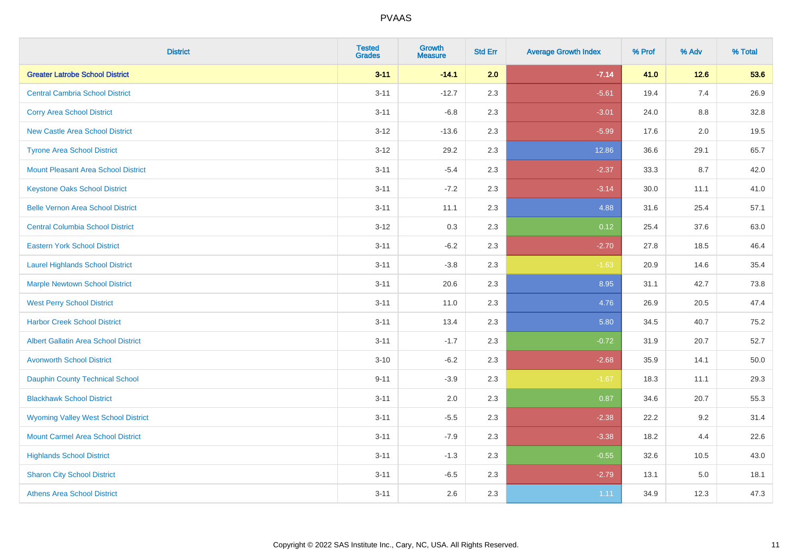| <b>District</b>                             | <b>Tested</b><br><b>Grades</b> | <b>Growth</b><br><b>Measure</b> | <b>Std Err</b> | <b>Average Growth Index</b> | % Prof | % Adv   | % Total |
|---------------------------------------------|--------------------------------|---------------------------------|----------------|-----------------------------|--------|---------|---------|
| <b>Greater Latrobe School District</b>      | $3 - 11$                       | $-14.1$                         | 2.0            | $-7.14$                     | 41.0   | 12.6    | 53.6    |
| <b>Central Cambria School District</b>      | $3 - 11$                       | $-12.7$                         | 2.3            | $-5.61$                     | 19.4   | 7.4     | 26.9    |
| <b>Corry Area School District</b>           | $3 - 11$                       | $-6.8$                          | 2.3            | $-3.01$                     | 24.0   | $8.8\,$ | 32.8    |
| <b>New Castle Area School District</b>      | $3 - 12$                       | $-13.6$                         | 2.3            | $-5.99$                     | 17.6   | 2.0     | 19.5    |
| <b>Tyrone Area School District</b>          | $3 - 12$                       | 29.2                            | 2.3            | 12.86                       | 36.6   | 29.1    | 65.7    |
| <b>Mount Pleasant Area School District</b>  | $3 - 11$                       | $-5.4$                          | 2.3            | $-2.37$                     | 33.3   | 8.7     | 42.0    |
| <b>Keystone Oaks School District</b>        | $3 - 11$                       | $-7.2$                          | 2.3            | $-3.14$                     | 30.0   | 11.1    | 41.0    |
| <b>Belle Vernon Area School District</b>    | $3 - 11$                       | 11.1                            | 2.3            | 4.88                        | 31.6   | 25.4    | 57.1    |
| <b>Central Columbia School District</b>     | $3 - 12$                       | 0.3                             | 2.3            | 0.12                        | 25.4   | 37.6    | 63.0    |
| <b>Eastern York School District</b>         | $3 - 11$                       | $-6.2$                          | 2.3            | $-2.70$                     | 27.8   | 18.5    | 46.4    |
| <b>Laurel Highlands School District</b>     | $3 - 11$                       | $-3.8$                          | 2.3            | $-1.63$                     | 20.9   | 14.6    | 35.4    |
| <b>Marple Newtown School District</b>       | $3 - 11$                       | 20.6                            | 2.3            | 8.95                        | 31.1   | 42.7    | 73.8    |
| <b>West Perry School District</b>           | $3 - 11$                       | 11.0                            | 2.3            | 4.76                        | 26.9   | 20.5    | 47.4    |
| <b>Harbor Creek School District</b>         | $3 - 11$                       | 13.4                            | 2.3            | 5.80                        | 34.5   | 40.7    | 75.2    |
| <b>Albert Gallatin Area School District</b> | $3 - 11$                       | $-1.7$                          | 2.3            | $-0.72$                     | 31.9   | 20.7    | 52.7    |
| <b>Avonworth School District</b>            | $3 - 10$                       | $-6.2$                          | 2.3            | $-2.68$                     | 35.9   | 14.1    | 50.0    |
| <b>Dauphin County Technical School</b>      | $9 - 11$                       | $-3.9$                          | 2.3            | $-1.67$                     | 18.3   | 11.1    | 29.3    |
| <b>Blackhawk School District</b>            | $3 - 11$                       | 2.0                             | 2.3            | 0.87                        | 34.6   | 20.7    | 55.3    |
| <b>Wyoming Valley West School District</b>  | $3 - 11$                       | $-5.5$                          | 2.3            | $-2.38$                     | 22.2   | 9.2     | 31.4    |
| <b>Mount Carmel Area School District</b>    | $3 - 11$                       | $-7.9$                          | 2.3            | $-3.38$                     | 18.2   | 4.4     | 22.6    |
| <b>Highlands School District</b>            | $3 - 11$                       | $-1.3$                          | 2.3            | $-0.55$                     | 32.6   | 10.5    | 43.0    |
| <b>Sharon City School District</b>          | $3 - 11$                       | $-6.5$                          | 2.3            | $-2.79$                     | 13.1   | 5.0     | 18.1    |
| <b>Athens Area School District</b>          | $3 - 11$                       | 2.6                             | 2.3            | 1.11                        | 34.9   | 12.3    | 47.3    |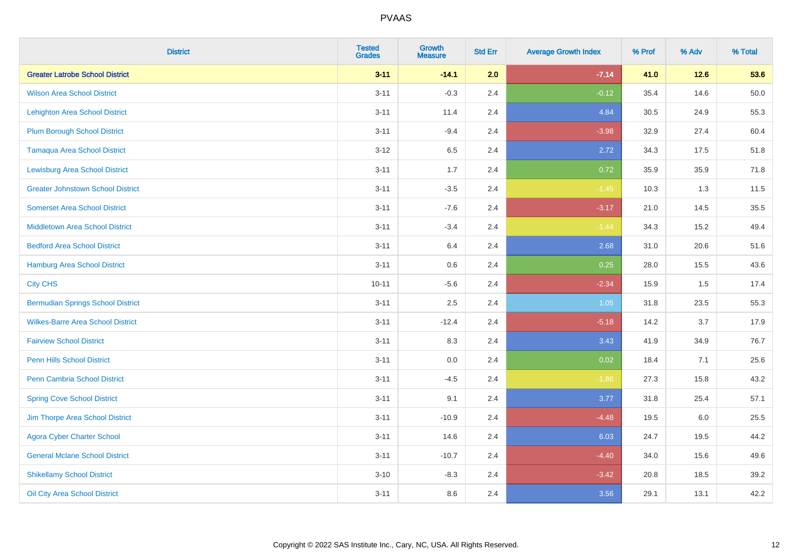| <b>District</b>                          | <b>Tested</b><br><b>Grades</b> | <b>Growth</b><br><b>Measure</b> | <b>Std Err</b> | <b>Average Growth Index</b> | % Prof | % Adv  | % Total |
|------------------------------------------|--------------------------------|---------------------------------|----------------|-----------------------------|--------|--------|---------|
| <b>Greater Latrobe School District</b>   | $3 - 11$                       | $-14.1$                         | 2.0            | $-7.14$                     | 41.0   | $12.6$ | 53.6    |
| <b>Wilson Area School District</b>       | $3 - 11$                       | $-0.3$                          | 2.4            | $-0.12$                     | 35.4   | 14.6   | 50.0    |
| <b>Lehighton Area School District</b>    | $3 - 11$                       | 11.4                            | 2.4            | 4.84                        | 30.5   | 24.9   | 55.3    |
| <b>Plum Borough School District</b>      | $3 - 11$                       | $-9.4$                          | 2.4            | $-3.98$                     | 32.9   | 27.4   | 60.4    |
| <b>Tamaqua Area School District</b>      | $3 - 12$                       | 6.5                             | 2.4            | 2.72                        | 34.3   | 17.5   | 51.8    |
| <b>Lewisburg Area School District</b>    | $3 - 11$                       | 1.7                             | 2.4            | 0.72                        | 35.9   | 35.9   | 71.8    |
| <b>Greater Johnstown School District</b> | $3 - 11$                       | $-3.5$                          | 2.4            | $-1.45$                     | 10.3   | 1.3    | 11.5    |
| <b>Somerset Area School District</b>     | $3 - 11$                       | $-7.6$                          | 2.4            | $-3.17$                     | 21.0   | 14.5   | 35.5    |
| <b>Middletown Area School District</b>   | $3 - 11$                       | $-3.4$                          | 2.4            | $-1.44$                     | 34.3   | 15.2   | 49.4    |
| <b>Bedford Area School District</b>      | $3 - 11$                       | 6.4                             | 2.4            | 2.68                        | 31.0   | 20.6   | 51.6    |
| Hamburg Area School District             | $3 - 11$                       | 0.6                             | 2.4            | 0.25                        | 28.0   | 15.5   | 43.6    |
| <b>City CHS</b>                          | $10 - 11$                      | $-5.6$                          | 2.4            | $-2.34$                     | 15.9   | 1.5    | 17.4    |
| <b>Bermudian Springs School District</b> | $3 - 11$                       | 2.5                             | 2.4            | 1.05                        | 31.8   | 23.5   | 55.3    |
| <b>Wilkes-Barre Area School District</b> | $3 - 11$                       | $-12.4$                         | 2.4            | $-5.18$                     | 14.2   | 3.7    | 17.9    |
| <b>Fairview School District</b>          | $3 - 11$                       | 8.3                             | 2.4            | 3.43                        | 41.9   | 34.9   | 76.7    |
| <b>Penn Hills School District</b>        | $3 - 11$                       | 0.0                             | 2.4            | 0.02                        | 18.4   | 7.1    | 25.6    |
| Penn Cambria School District             | $3 - 11$                       | $-4.5$                          | 2.4            | $-1.86$                     | 27.3   | 15.8   | 43.2    |
| <b>Spring Cove School District</b>       | $3 - 11$                       | 9.1                             | 2.4            | 3.77                        | 31.8   | 25.4   | 57.1    |
| Jim Thorpe Area School District          | $3 - 11$                       | $-10.9$                         | 2.4            | $-4.48$                     | 19.5   | 6.0    | 25.5    |
| <b>Agora Cyber Charter School</b>        | $3 - 11$                       | 14.6                            | 2.4            | 6.03                        | 24.7   | 19.5   | 44.2    |
| <b>General Mclane School District</b>    | $3 - 11$                       | $-10.7$                         | 2.4            | $-4.40$                     | 34.0   | 15.6   | 49.6    |
| <b>Shikellamy School District</b>        | $3 - 10$                       | $-8.3$                          | 2.4            | $-3.42$                     | 20.8   | 18.5   | 39.2    |
| Oil City Area School District            | $3 - 11$                       | 8.6                             | 2.4            | 3.56                        | 29.1   | 13.1   | 42.2    |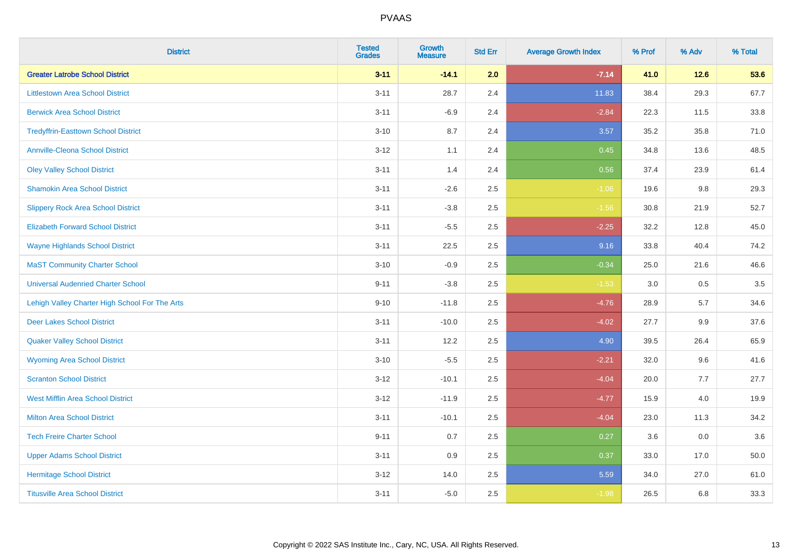| <b>District</b>                                | <b>Tested</b><br><b>Grades</b> | <b>Growth</b><br><b>Measure</b> | <b>Std Err</b> | <b>Average Growth Index</b> | % Prof | % Adv  | % Total |
|------------------------------------------------|--------------------------------|---------------------------------|----------------|-----------------------------|--------|--------|---------|
| <b>Greater Latrobe School District</b>         | $3 - 11$                       | $-14.1$                         | 2.0            | $-7.14$                     | 41.0   | $12.6$ | 53.6    |
| <b>Littlestown Area School District</b>        | $3 - 11$                       | 28.7                            | 2.4            | 11.83                       | 38.4   | 29.3   | 67.7    |
| <b>Berwick Area School District</b>            | $3 - 11$                       | $-6.9$                          | 2.4            | $-2.84$                     | 22.3   | 11.5   | 33.8    |
| <b>Tredyffrin-Easttown School District</b>     | $3 - 10$                       | 8.7                             | 2.4            | 3.57                        | 35.2   | 35.8   | 71.0    |
| <b>Annville-Cleona School District</b>         | $3 - 12$                       | 1.1                             | 2.4            | 0.45                        | 34.8   | 13.6   | 48.5    |
| <b>Oley Valley School District</b>             | $3 - 11$                       | 1.4                             | 2.4            | 0.56                        | 37.4   | 23.9   | 61.4    |
| <b>Shamokin Area School District</b>           | $3 - 11$                       | $-2.6$                          | 2.5            | $-1.06$                     | 19.6   | 9.8    | 29.3    |
| <b>Slippery Rock Area School District</b>      | $3 - 11$                       | $-3.8$                          | 2.5            | $-1.56$                     | 30.8   | 21.9   | 52.7    |
| <b>Elizabeth Forward School District</b>       | $3 - 11$                       | $-5.5$                          | 2.5            | $-2.25$                     | 32.2   | 12.8   | 45.0    |
| <b>Wayne Highlands School District</b>         | $3 - 11$                       | 22.5                            | 2.5            | 9.16                        | 33.8   | 40.4   | 74.2    |
| <b>MaST Community Charter School</b>           | $3 - 10$                       | $-0.9$                          | 2.5            | $-0.34$                     | 25.0   | 21.6   | 46.6    |
| <b>Universal Audenried Charter School</b>      | $9 - 11$                       | $-3.8$                          | 2.5            | $-1.53$                     | 3.0    | 0.5    | 3.5     |
| Lehigh Valley Charter High School For The Arts | $9 - 10$                       | $-11.8$                         | 2.5            | $-4.76$                     | 28.9   | 5.7    | 34.6    |
| <b>Deer Lakes School District</b>              | $3 - 11$                       | $-10.0$                         | 2.5            | $-4.02$                     | 27.7   | 9.9    | 37.6    |
| <b>Quaker Valley School District</b>           | $3 - 11$                       | 12.2                            | 2.5            | 4.90                        | 39.5   | 26.4   | 65.9    |
| <b>Wyoming Area School District</b>            | $3 - 10$                       | $-5.5$                          | 2.5            | $-2.21$                     | 32.0   | 9.6    | 41.6    |
| <b>Scranton School District</b>                | $3 - 12$                       | $-10.1$                         | 2.5            | $-4.04$                     | 20.0   | 7.7    | 27.7    |
| <b>West Mifflin Area School District</b>       | $3-12$                         | $-11.9$                         | 2.5            | $-4.77$                     | 15.9   | 4.0    | 19.9    |
| <b>Milton Area School District</b>             | $3 - 11$                       | $-10.1$                         | 2.5            | $-4.04$                     | 23.0   | 11.3   | 34.2    |
| <b>Tech Freire Charter School</b>              | $9 - 11$                       | 0.7                             | 2.5            | 0.27                        | 3.6    | 0.0    | 3.6     |
| <b>Upper Adams School District</b>             | $3 - 11$                       | 0.9                             | 2.5            | 0.37                        | 33.0   | 17.0   | 50.0    |
| <b>Hermitage School District</b>               | $3-12$                         | 14.0                            | 2.5            | 5.59                        | 34.0   | 27.0   | 61.0    |
| <b>Titusville Area School District</b>         | $3 - 11$                       | $-5.0$                          | 2.5            | $-1.98$                     | 26.5   | 6.8    | 33.3    |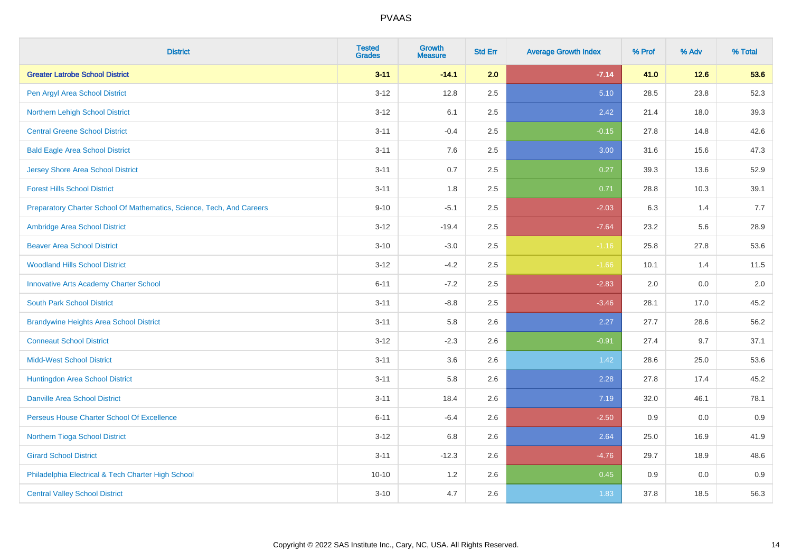| <b>District</b>                                                       | <b>Tested</b><br><b>Grades</b> | <b>Growth</b><br><b>Measure</b> | <b>Std Err</b> | <b>Average Growth Index</b> | % Prof | % Adv | % Total |
|-----------------------------------------------------------------------|--------------------------------|---------------------------------|----------------|-----------------------------|--------|-------|---------|
| <b>Greater Latrobe School District</b>                                | $3 - 11$                       | $-14.1$                         | 2.0            | $-7.14$                     | 41.0   | 12.6  | 53.6    |
| Pen Argyl Area School District                                        | $3 - 12$                       | 12.8                            | 2.5            | 5.10                        | 28.5   | 23.8  | 52.3    |
| Northern Lehigh School District                                       | $3 - 12$                       | 6.1                             | 2.5            | 2.42                        | 21.4   | 18.0  | 39.3    |
| <b>Central Greene School District</b>                                 | $3 - 11$                       | $-0.4$                          | 2.5            | $-0.15$                     | 27.8   | 14.8  | 42.6    |
| <b>Bald Eagle Area School District</b>                                | $3 - 11$                       | 7.6                             | 2.5            | 3.00                        | 31.6   | 15.6  | 47.3    |
| <b>Jersey Shore Area School District</b>                              | $3 - 11$                       | 0.7                             | 2.5            | 0.27                        | 39.3   | 13.6  | 52.9    |
| <b>Forest Hills School District</b>                                   | $3 - 11$                       | 1.8                             | 2.5            | 0.71                        | 28.8   | 10.3  | 39.1    |
| Preparatory Charter School Of Mathematics, Science, Tech, And Careers | $9 - 10$                       | $-5.1$                          | 2.5            | $-2.03$                     | 6.3    | 1.4   | 7.7     |
| Ambridge Area School District                                         | $3 - 12$                       | $-19.4$                         | 2.5            | $-7.64$                     | 23.2   | 5.6   | 28.9    |
| <b>Beaver Area School District</b>                                    | $3 - 10$                       | $-3.0$                          | 2.5            | $-1.16$                     | 25.8   | 27.8  | 53.6    |
| <b>Woodland Hills School District</b>                                 | $3 - 12$                       | $-4.2$                          | 2.5            | $-1.66$                     | 10.1   | 1.4   | 11.5    |
| <b>Innovative Arts Academy Charter School</b>                         | $6 - 11$                       | $-7.2$                          | 2.5            | $-2.83$                     | 2.0    | 0.0   | 2.0     |
| <b>South Park School District</b>                                     | $3 - 11$                       | $-8.8$                          | 2.5            | $-3.46$                     | 28.1   | 17.0  | 45.2    |
| <b>Brandywine Heights Area School District</b>                        | $3 - 11$                       | 5.8                             | 2.6            | 2.27                        | 27.7   | 28.6  | 56.2    |
| <b>Conneaut School District</b>                                       | $3 - 12$                       | $-2.3$                          | 2.6            | $-0.91$                     | 27.4   | 9.7   | 37.1    |
| <b>Midd-West School District</b>                                      | $3 - 11$                       | 3.6                             | 2.6            | 1.42                        | 28.6   | 25.0  | 53.6    |
| Huntingdon Area School District                                       | $3 - 11$                       | 5.8                             | 2.6            | 2.28                        | 27.8   | 17.4  | 45.2    |
| <b>Danville Area School District</b>                                  | $3 - 11$                       | 18.4                            | 2.6            | 7.19                        | 32.0   | 46.1  | 78.1    |
| Perseus House Charter School Of Excellence                            | $6 - 11$                       | $-6.4$                          | 2.6            | $-2.50$                     | 0.9    | 0.0   | 0.9     |
| Northern Tioga School District                                        | $3 - 12$                       | 6.8                             | 2.6            | 2.64                        | 25.0   | 16.9  | 41.9    |
| <b>Girard School District</b>                                         | $3 - 11$                       | $-12.3$                         | 2.6            | $-4.76$                     | 29.7   | 18.9  | 48.6    |
| Philadelphia Electrical & Tech Charter High School                    | $10 - 10$                      | 1.2                             | 2.6            | 0.45                        | 0.9    | 0.0   | 0.9     |
| <b>Central Valley School District</b>                                 | $3 - 10$                       | 4.7                             | 2.6            | 1.83                        | 37.8   | 18.5  | 56.3    |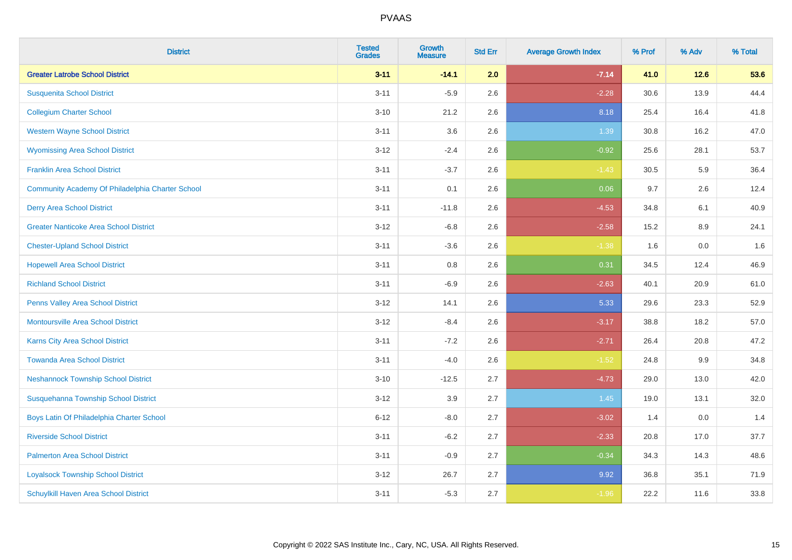| <b>District</b>                                  | <b>Tested</b><br><b>Grades</b> | <b>Growth</b><br><b>Measure</b> | <b>Std Err</b> | <b>Average Growth Index</b> | % Prof | % Adv   | % Total |
|--------------------------------------------------|--------------------------------|---------------------------------|----------------|-----------------------------|--------|---------|---------|
| <b>Greater Latrobe School District</b>           | $3 - 11$                       | $-14.1$                         | 2.0            | $-7.14$                     | 41.0   | $12.6$  | 53.6    |
| <b>Susquenita School District</b>                | $3 - 11$                       | $-5.9$                          | 2.6            | $-2.28$                     | 30.6   | 13.9    | 44.4    |
| <b>Collegium Charter School</b>                  | $3 - 10$                       | 21.2                            | 2.6            | 8.18                        | 25.4   | 16.4    | 41.8    |
| <b>Western Wayne School District</b>             | $3 - 11$                       | 3.6                             | 2.6            | 1.39                        | 30.8   | 16.2    | 47.0    |
| <b>Wyomissing Area School District</b>           | $3 - 12$                       | $-2.4$                          | 2.6            | $-0.92$                     | 25.6   | 28.1    | 53.7    |
| <b>Franklin Area School District</b>             | $3 - 11$                       | $-3.7$                          | 2.6            | $-1.43$                     | 30.5   | 5.9     | 36.4    |
| Community Academy Of Philadelphia Charter School | $3 - 11$                       | 0.1                             | 2.6            | 0.06                        | 9.7    | 2.6     | 12.4    |
| <b>Derry Area School District</b>                | $3 - 11$                       | $-11.8$                         | 2.6            | $-4.53$                     | 34.8   | 6.1     | 40.9    |
| <b>Greater Nanticoke Area School District</b>    | $3 - 12$                       | $-6.8$                          | 2.6            | $-2.58$                     | 15.2   | 8.9     | 24.1    |
| <b>Chester-Upland School District</b>            | $3 - 11$                       | $-3.6$                          | 2.6            | $-1.38$                     | 1.6    | 0.0     | 1.6     |
| <b>Hopewell Area School District</b>             | $3 - 11$                       | 0.8                             | 2.6            | 0.31                        | 34.5   | 12.4    | 46.9    |
| <b>Richland School District</b>                  | $3 - 11$                       | $-6.9$                          | 2.6            | $-2.63$                     | 40.1   | 20.9    | 61.0    |
| Penns Valley Area School District                | $3 - 12$                       | 14.1                            | 2.6            | 5.33                        | 29.6   | 23.3    | 52.9    |
| <b>Montoursville Area School District</b>        | $3 - 12$                       | $-8.4$                          | 2.6            | $-3.17$                     | 38.8   | 18.2    | 57.0    |
| Karns City Area School District                  | $3 - 11$                       | $-7.2$                          | 2.6            | $-2.71$                     | 26.4   | 20.8    | 47.2    |
| <b>Towanda Area School District</b>              | $3 - 11$                       | $-4.0$                          | 2.6            | $-1.52$                     | 24.8   | 9.9     | 34.8    |
| <b>Neshannock Township School District</b>       | $3 - 10$                       | $-12.5$                         | 2.7            | $-4.73$                     | 29.0   | 13.0    | 42.0    |
| Susquehanna Township School District             | $3-12$                         | 3.9                             | 2.7            | 1.45                        | 19.0   | 13.1    | 32.0    |
| Boys Latin Of Philadelphia Charter School        | $6 - 12$                       | $-8.0$                          | 2.7            | $-3.02$                     | 1.4    | $0.0\,$ | 1.4     |
| <b>Riverside School District</b>                 | $3 - 11$                       | $-6.2$                          | 2.7            | $-2.33$                     | 20.8   | 17.0    | 37.7    |
| <b>Palmerton Area School District</b>            | $3 - 11$                       | $-0.9$                          | 2.7            | $-0.34$                     | 34.3   | 14.3    | 48.6    |
| <b>Loyalsock Township School District</b>        | $3-12$                         | 26.7                            | 2.7            | 9.92                        | 36.8   | 35.1    | 71.9    |
| Schuylkill Haven Area School District            | $3 - 11$                       | $-5.3$                          | 2.7            | $-1.96$                     | 22.2   | 11.6    | 33.8    |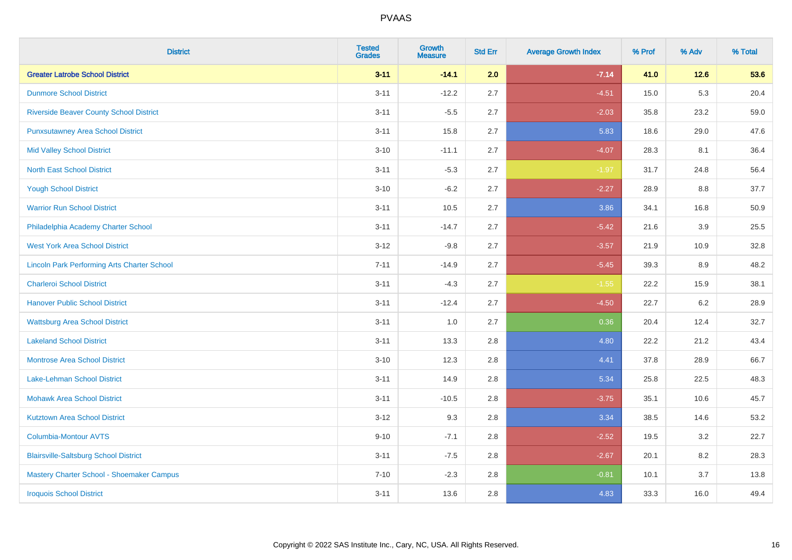| <b>District</b>                                    | <b>Tested</b><br><b>Grades</b> | <b>Growth</b><br><b>Measure</b> | <b>Std Err</b> | <b>Average Growth Index</b> | % Prof | % Adv   | % Total |
|----------------------------------------------------|--------------------------------|---------------------------------|----------------|-----------------------------|--------|---------|---------|
| <b>Greater Latrobe School District</b>             | $3 - 11$                       | $-14.1$                         | 2.0            | $-7.14$                     | 41.0   | $12.6$  | 53.6    |
| <b>Dunmore School District</b>                     | $3 - 11$                       | $-12.2$                         | 2.7            | $-4.51$                     | 15.0   | $5.3\,$ | 20.4    |
| <b>Riverside Beaver County School District</b>     | $3 - 11$                       | $-5.5$                          | 2.7            | $-2.03$                     | 35.8   | 23.2    | 59.0    |
| <b>Punxsutawney Area School District</b>           | $3 - 11$                       | 15.8                            | 2.7            | 5.83                        | 18.6   | 29.0    | 47.6    |
| <b>Mid Valley School District</b>                  | $3 - 10$                       | $-11.1$                         | 2.7            | $-4.07$                     | 28.3   | 8.1     | 36.4    |
| <b>North East School District</b>                  | $3 - 11$                       | $-5.3$                          | 2.7            | $-1.97$                     | 31.7   | 24.8    | 56.4    |
| <b>Yough School District</b>                       | $3 - 10$                       | $-6.2$                          | 2.7            | $-2.27$                     | 28.9   | 8.8     | 37.7    |
| <b>Warrior Run School District</b>                 | $3 - 11$                       | 10.5                            | 2.7            | 3.86                        | 34.1   | 16.8    | 50.9    |
| Philadelphia Academy Charter School                | $3 - 11$                       | $-14.7$                         | 2.7            | $-5.42$                     | 21.6   | 3.9     | 25.5    |
| <b>West York Area School District</b>              | $3 - 12$                       | $-9.8$                          | 2.7            | $-3.57$                     | 21.9   | 10.9    | 32.8    |
| <b>Lincoln Park Performing Arts Charter School</b> | $7 - 11$                       | $-14.9$                         | 2.7            | $-5.45$                     | 39.3   | 8.9     | 48.2    |
| <b>Charleroi School District</b>                   | $3 - 11$                       | $-4.3$                          | 2.7            | $-1.55$                     | 22.2   | 15.9    | 38.1    |
| <b>Hanover Public School District</b>              | $3 - 11$                       | $-12.4$                         | 2.7            | $-4.50$                     | 22.7   | 6.2     | 28.9    |
| <b>Wattsburg Area School District</b>              | $3 - 11$                       | 1.0                             | 2.7            | 0.36                        | 20.4   | 12.4    | 32.7    |
| <b>Lakeland School District</b>                    | $3 - 11$                       | 13.3                            | 2.8            | 4.80                        | 22.2   | 21.2    | 43.4    |
| <b>Montrose Area School District</b>               | $3 - 10$                       | 12.3                            | 2.8            | 4.41                        | 37.8   | 28.9    | 66.7    |
| Lake-Lehman School District                        | $3 - 11$                       | 14.9                            | 2.8            | 5.34                        | 25.8   | 22.5    | 48.3    |
| <b>Mohawk Area School District</b>                 | $3 - 11$                       | $-10.5$                         | 2.8            | $-3.75$                     | 35.1   | 10.6    | 45.7    |
| <b>Kutztown Area School District</b>               | $3 - 12$                       | 9.3                             | 2.8            | 3.34                        | 38.5   | 14.6    | 53.2    |
| Columbia-Montour AVTS                              | $9 - 10$                       | $-7.1$                          | 2.8            | $-2.52$                     | 19.5   | 3.2     | 22.7    |
| <b>Blairsville-Saltsburg School District</b>       | $3 - 11$                       | $-7.5$                          | 2.8            | $-2.67$                     | 20.1   | 8.2     | 28.3    |
| Mastery Charter School - Shoemaker Campus          | $7 - 10$                       | $-2.3$                          | 2.8            | $-0.81$                     | 10.1   | 3.7     | 13.8    |
| <b>Iroquois School District</b>                    | $3 - 11$                       | 13.6                            | 2.8            | 4.83                        | 33.3   | 16.0    | 49.4    |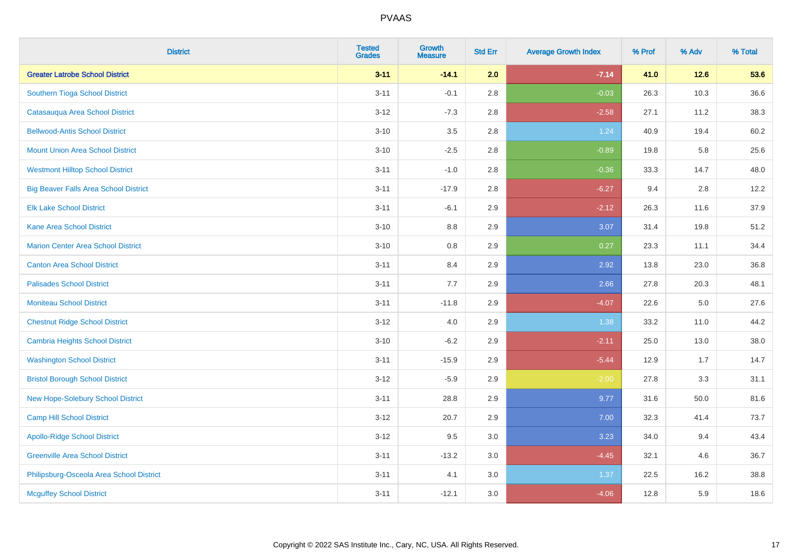| <b>District</b>                              | <b>Tested</b><br><b>Grades</b> | <b>Growth</b><br><b>Measure</b> | <b>Std Err</b> | <b>Average Growth Index</b> | % Prof | % Adv   | % Total |
|----------------------------------------------|--------------------------------|---------------------------------|----------------|-----------------------------|--------|---------|---------|
| <b>Greater Latrobe School District</b>       | $3 - 11$                       | $-14.1$                         | 2.0            | $-7.14$                     | 41.0   | 12.6    | 53.6    |
| Southern Tioga School District               | $3 - 11$                       | $-0.1$                          | 2.8            | $-0.03$                     | 26.3   | 10.3    | 36.6    |
| Catasauqua Area School District              | $3 - 12$                       | $-7.3$                          | 2.8            | $-2.58$                     | 27.1   | 11.2    | 38.3    |
| <b>Bellwood-Antis School District</b>        | $3 - 10$                       | 3.5                             | 2.8            | 1.24                        | 40.9   | 19.4    | 60.2    |
| <b>Mount Union Area School District</b>      | $3 - 10$                       | $-2.5$                          | 2.8            | $-0.89$                     | 19.8   | 5.8     | 25.6    |
| <b>Westmont Hilltop School District</b>      | $3 - 11$                       | $-1.0$                          | 2.8            | $-0.36$                     | 33.3   | 14.7    | 48.0    |
| <b>Big Beaver Falls Area School District</b> | $3 - 11$                       | $-17.9$                         | 2.8            | $-6.27$                     | 9.4    | 2.8     | 12.2    |
| <b>Elk Lake School District</b>              | $3 - 11$                       | $-6.1$                          | 2.9            | $-2.12$                     | 26.3   | 11.6    | 37.9    |
| <b>Kane Area School District</b>             | $3 - 10$                       | 8.8                             | 2.9            | 3.07                        | 31.4   | 19.8    | 51.2    |
| <b>Marion Center Area School District</b>    | $3 - 10$                       | 0.8                             | 2.9            | 0.27                        | 23.3   | 11.1    | 34.4    |
| <b>Canton Area School District</b>           | $3 - 11$                       | 8.4                             | 2.9            | 2.92                        | 13.8   | 23.0    | 36.8    |
| <b>Palisades School District</b>             | $3 - 11$                       | 7.7                             | 2.9            | 2.66                        | 27.8   | 20.3    | 48.1    |
| <b>Moniteau School District</b>              | $3 - 11$                       | $-11.8$                         | 2.9            | $-4.07$                     | 22.6   | $5.0\,$ | 27.6    |
| <b>Chestnut Ridge School District</b>        | $3 - 12$                       | $4.0\,$                         | 2.9            | 1.38                        | 33.2   | 11.0    | 44.2    |
| <b>Cambria Heights School District</b>       | $3 - 10$                       | $-6.2$                          | 2.9            | $-2.11$                     | 25.0   | 13.0    | 38.0    |
| <b>Washington School District</b>            | $3 - 11$                       | $-15.9$                         | 2.9            | $-5.44$                     | 12.9   | 1.7     | 14.7    |
| <b>Bristol Borough School District</b>       | $3 - 12$                       | $-5.9$                          | 2.9            | $-2.00$                     | 27.8   | 3.3     | 31.1    |
| New Hope-Solebury School District            | $3 - 11$                       | 28.8                            | 2.9            | 9.77                        | 31.6   | 50.0    | 81.6    |
| Camp Hill School District                    | $3 - 12$                       | 20.7                            | 2.9            | 7.00                        | 32.3   | 41.4    | 73.7    |
| <b>Apollo-Ridge School District</b>          | $3 - 12$                       | 9.5                             | 3.0            | 3.23                        | 34.0   | 9.4     | 43.4    |
| <b>Greenville Area School District</b>       | $3 - 11$                       | $-13.2$                         | 3.0            | $-4.45$                     | 32.1   | 4.6     | 36.7    |
| Philipsburg-Osceola Area School District     | $3 - 11$                       | 4.1                             | 3.0            | 1.37                        | 22.5   | 16.2    | 38.8    |
| <b>Mcguffey School District</b>              | $3 - 11$                       | $-12.1$                         | 3.0            | $-4.06$                     | 12.8   | 5.9     | 18.6    |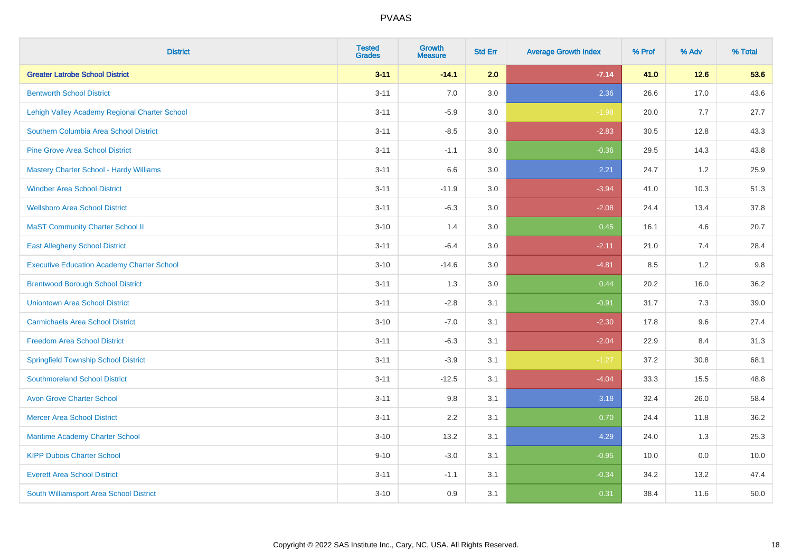| <b>District</b>                                   | <b>Tested</b><br><b>Grades</b> | <b>Growth</b><br><b>Measure</b> | <b>Std Err</b> | <b>Average Growth Index</b> | % Prof | % Adv | % Total |
|---------------------------------------------------|--------------------------------|---------------------------------|----------------|-----------------------------|--------|-------|---------|
| <b>Greater Latrobe School District</b>            | $3 - 11$                       | $-14.1$                         | 2.0            | $-7.14$                     | 41.0   | 12.6  | 53.6    |
| <b>Bentworth School District</b>                  | $3 - 11$                       | 7.0                             | 3.0            | 2.36                        | 26.6   | 17.0  | 43.6    |
| Lehigh Valley Academy Regional Charter School     | $3 - 11$                       | $-5.9$                          | 3.0            | $-1.98$                     | 20.0   | 7.7   | 27.7    |
| Southern Columbia Area School District            | $3 - 11$                       | $-8.5$                          | 3.0            | $-2.83$                     | 30.5   | 12.8  | 43.3    |
| <b>Pine Grove Area School District</b>            | $3 - 11$                       | $-1.1$                          | 3.0            | $-0.36$                     | 29.5   | 14.3  | 43.8    |
| <b>Mastery Charter School - Hardy Williams</b>    | $3 - 11$                       | 6.6                             | 3.0            | 2.21                        | 24.7   | 1.2   | 25.9    |
| <b>Windber Area School District</b>               | $3 - 11$                       | $-11.9$                         | 3.0            | $-3.94$                     | 41.0   | 10.3  | 51.3    |
| <b>Wellsboro Area School District</b>             | $3 - 11$                       | $-6.3$                          | 3.0            | $-2.08$                     | 24.4   | 13.4  | 37.8    |
| <b>MaST Community Charter School II</b>           | $3 - 10$                       | 1.4                             | 3.0            | 0.45                        | 16.1   | 4.6   | 20.7    |
| <b>East Allegheny School District</b>             | $3 - 11$                       | $-6.4$                          | 3.0            | $-2.11$                     | 21.0   | 7.4   | 28.4    |
| <b>Executive Education Academy Charter School</b> | $3 - 10$                       | $-14.6$                         | 3.0            | $-4.81$                     | 8.5    | 1.2   | 9.8     |
| <b>Brentwood Borough School District</b>          | $3 - 11$                       | 1.3                             | 3.0            | 0.44                        | 20.2   | 16.0  | 36.2    |
| <b>Uniontown Area School District</b>             | $3 - 11$                       | $-2.8$                          | 3.1            | $-0.91$                     | 31.7   | 7.3   | 39.0    |
| <b>Carmichaels Area School District</b>           | $3 - 10$                       | $-7.0$                          | 3.1            | $-2.30$                     | 17.8   | 9.6   | 27.4    |
| <b>Freedom Area School District</b>               | $3 - 11$                       | $-6.3$                          | 3.1            | $-2.04$                     | 22.9   | 8.4   | 31.3    |
| <b>Springfield Township School District</b>       | $3 - 11$                       | $-3.9$                          | 3.1            | $-1.27$                     | 37.2   | 30.8  | 68.1    |
| <b>Southmoreland School District</b>              | $3 - 11$                       | $-12.5$                         | 3.1            | $-4.04$                     | 33.3   | 15.5  | 48.8    |
| <b>Avon Grove Charter School</b>                  | $3 - 11$                       | 9.8                             | 3.1            | 3.18                        | 32.4   | 26.0  | 58.4    |
| <b>Mercer Area School District</b>                | $3 - 11$                       | 2.2                             | 3.1            | 0.70                        | 24.4   | 11.8  | 36.2    |
| Maritime Academy Charter School                   | $3 - 10$                       | 13.2                            | 3.1            | 4.29                        | 24.0   | 1.3   | 25.3    |
| <b>KIPP Dubois Charter School</b>                 | $9 - 10$                       | $-3.0$                          | 3.1            | $-0.95$                     | 10.0   | 0.0   | 10.0    |
| <b>Everett Area School District</b>               | $3 - 11$                       | $-1.1$                          | 3.1            | $-0.34$                     | 34.2   | 13.2  | 47.4    |
| South Williamsport Area School District           | $3 - 10$                       | 0.9                             | 3.1            | 0.31                        | 38.4   | 11.6  | 50.0    |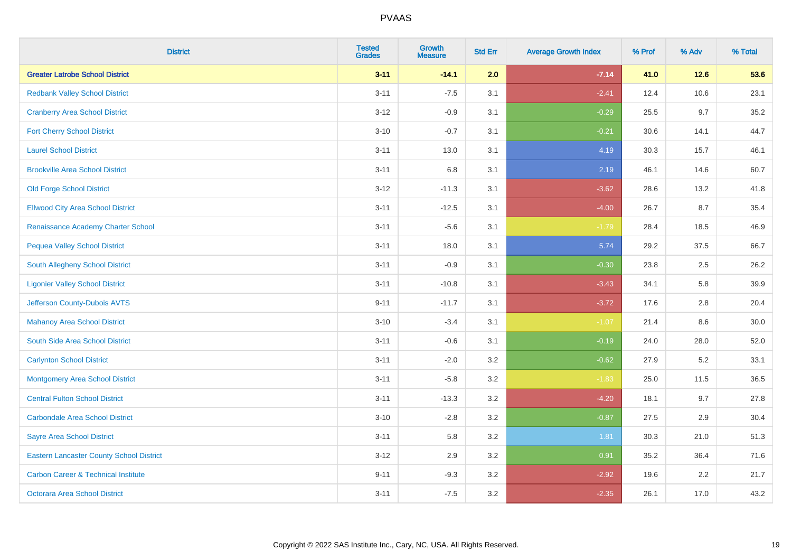| <b>District</b>                                 | <b>Tested</b><br><b>Grades</b> | <b>Growth</b><br><b>Measure</b> | <b>Std Err</b> | <b>Average Growth Index</b> | % Prof | % Adv  | % Total |
|-------------------------------------------------|--------------------------------|---------------------------------|----------------|-----------------------------|--------|--------|---------|
| <b>Greater Latrobe School District</b>          | $3 - 11$                       | $-14.1$                         | 2.0            | $-7.14$                     | 41.0   | $12.6$ | 53.6    |
| <b>Redbank Valley School District</b>           | $3 - 11$                       | $-7.5$                          | 3.1            | $-2.41$                     | 12.4   | 10.6   | 23.1    |
| <b>Cranberry Area School District</b>           | $3 - 12$                       | $-0.9$                          | 3.1            | $-0.29$                     | 25.5   | 9.7    | 35.2    |
| <b>Fort Cherry School District</b>              | $3 - 10$                       | $-0.7$                          | 3.1            | $-0.21$                     | 30.6   | 14.1   | 44.7    |
| <b>Laurel School District</b>                   | $3 - 11$                       | 13.0                            | 3.1            | 4.19                        | 30.3   | 15.7   | 46.1    |
| <b>Brookville Area School District</b>          | $3 - 11$                       | 6.8                             | 3.1            | 2.19                        | 46.1   | 14.6   | 60.7    |
| <b>Old Forge School District</b>                | $3-12$                         | $-11.3$                         | 3.1            | $-3.62$                     | 28.6   | 13.2   | 41.8    |
| <b>Ellwood City Area School District</b>        | $3 - 11$                       | $-12.5$                         | 3.1            | $-4.00$                     | 26.7   | 8.7    | 35.4    |
| Renaissance Academy Charter School              | $3 - 11$                       | $-5.6$                          | 3.1            | $-1.79$                     | 28.4   | 18.5   | 46.9    |
| <b>Pequea Valley School District</b>            | $3 - 11$                       | 18.0                            | 3.1            | 5.74                        | 29.2   | 37.5   | 66.7    |
| South Allegheny School District                 | $3 - 11$                       | $-0.9$                          | 3.1            | $-0.30$                     | 23.8   | 2.5    | 26.2    |
| <b>Ligonier Valley School District</b>          | $3 - 11$                       | $-10.8$                         | 3.1            | $-3.43$                     | 34.1   | 5.8    | 39.9    |
| Jefferson County-Dubois AVTS                    | $9 - 11$                       | $-11.7$                         | 3.1            | $-3.72$                     | 17.6   | 2.8    | 20.4    |
| <b>Mahanoy Area School District</b>             | $3 - 10$                       | $-3.4$                          | 3.1            | $-1.07$                     | 21.4   | 8.6    | 30.0    |
| South Side Area School District                 | $3 - 11$                       | $-0.6$                          | 3.1            | $-0.19$                     | 24.0   | 28.0   | 52.0    |
| <b>Carlynton School District</b>                | $3 - 11$                       | $-2.0$                          | 3.2            | $-0.62$                     | 27.9   | 5.2    | 33.1    |
| <b>Montgomery Area School District</b>          | $3 - 11$                       | $-5.8$                          | 3.2            | $-1.83$                     | 25.0   | 11.5   | 36.5    |
| <b>Central Fulton School District</b>           | $3 - 11$                       | $-13.3$                         | 3.2            | $-4.20$                     | 18.1   | 9.7    | 27.8    |
| <b>Carbondale Area School District</b>          | $3 - 10$                       | $-2.8$                          | 3.2            | $-0.87$                     | 27.5   | 2.9    | 30.4    |
| <b>Sayre Area School District</b>               | $3 - 11$                       | 5.8                             | 3.2            | 1.81                        | 30.3   | 21.0   | 51.3    |
| <b>Eastern Lancaster County School District</b> | $3 - 12$                       | 2.9                             | 3.2            | 0.91                        | 35.2   | 36.4   | 71.6    |
| <b>Carbon Career &amp; Technical Institute</b>  | $9 - 11$                       | $-9.3$                          | 3.2            | $-2.92$                     | 19.6   | 2.2    | 21.7    |
| <b>Octorara Area School District</b>            | $3 - 11$                       | $-7.5$                          | 3.2            | $-2.35$                     | 26.1   | 17.0   | 43.2    |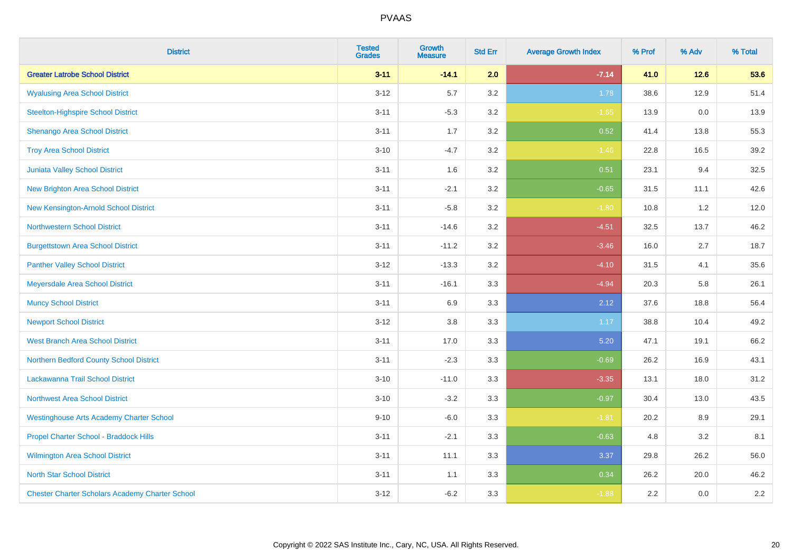| <b>District</b>                                        | <b>Tested</b><br><b>Grades</b> | <b>Growth</b><br><b>Measure</b> | <b>Std Err</b> | <b>Average Growth Index</b> | % Prof | % Adv  | % Total |
|--------------------------------------------------------|--------------------------------|---------------------------------|----------------|-----------------------------|--------|--------|---------|
| <b>Greater Latrobe School District</b>                 | $3 - 11$                       | $-14.1$                         | 2.0            | $-7.14$                     | 41.0   | $12.6$ | 53.6    |
| <b>Wyalusing Area School District</b>                  | $3 - 12$                       | 5.7                             | 3.2            | 1.78                        | 38.6   | 12.9   | 51.4    |
| <b>Steelton-Highspire School District</b>              | $3 - 11$                       | $-5.3$                          | 3.2            | $-1.65$                     | 13.9   | 0.0    | 13.9    |
| <b>Shenango Area School District</b>                   | $3 - 11$                       | 1.7                             | 3.2            | 0.52                        | 41.4   | 13.8   | 55.3    |
| <b>Troy Area School District</b>                       | $3 - 10$                       | $-4.7$                          | 3.2            | $-1.46$                     | 22.8   | 16.5   | 39.2    |
| Juniata Valley School District                         | $3 - 11$                       | 1.6                             | 3.2            | 0.51                        | 23.1   | 9.4    | 32.5    |
| <b>New Brighton Area School District</b>               | $3 - 11$                       | $-2.1$                          | 3.2            | $-0.65$                     | 31.5   | 11.1   | 42.6    |
| New Kensington-Arnold School District                  | $3 - 11$                       | $-5.8$                          | 3.2            | $-1.80$                     | 10.8   | 1.2    | 12.0    |
| <b>Northwestern School District</b>                    | $3 - 11$                       | $-14.6$                         | 3.2            | $-4.51$                     | 32.5   | 13.7   | 46.2    |
| <b>Burgettstown Area School District</b>               | $3 - 11$                       | $-11.2$                         | 3.2            | $-3.46$                     | 16.0   | 2.7    | 18.7    |
| <b>Panther Valley School District</b>                  | $3 - 12$                       | $-13.3$                         | 3.2            | $-4.10$                     | 31.5   | 4.1    | 35.6    |
| Meyersdale Area School District                        | $3 - 11$                       | $-16.1$                         | 3.3            | $-4.94$                     | 20.3   | 5.8    | 26.1    |
| <b>Muncy School District</b>                           | $3 - 11$                       | 6.9                             | 3.3            | 2.12                        | 37.6   | 18.8   | 56.4    |
| <b>Newport School District</b>                         | $3 - 12$                       | 3.8                             | 3.3            | 1.17                        | 38.8   | 10.4   | 49.2    |
| <b>West Branch Area School District</b>                | $3 - 11$                       | 17.0                            | 3.3            | 5.20                        | 47.1   | 19.1   | 66.2    |
| Northern Bedford County School District                | $3 - 11$                       | $-2.3$                          | 3.3            | $-0.69$                     | 26.2   | 16.9   | 43.1    |
| Lackawanna Trail School District                       | $3 - 10$                       | $-11.0$                         | 3.3            | $-3.35$                     | 13.1   | 18.0   | 31.2    |
| Northwest Area School District                         | $3 - 10$                       | $-3.2$                          | 3.3            | $-0.97$                     | 30.4   | 13.0   | 43.5    |
| <b>Westinghouse Arts Academy Charter School</b>        | $9 - 10$                       | $-6.0$                          | 3.3            | $-1.81$                     | 20.2   | 8.9    | 29.1    |
| Propel Charter School - Braddock Hills                 | $3 - 11$                       | $-2.1$                          | 3.3            | $-0.63$                     | 4.8    | 3.2    | 8.1     |
| Wilmington Area School District                        | $3 - 11$                       | 11.1                            | 3.3            | 3.37                        | 29.8   | 26.2   | 56.0    |
| <b>North Star School District</b>                      | $3 - 11$                       | 1.1                             | 3.3            | 0.34                        | 26.2   | 20.0   | 46.2    |
| <b>Chester Charter Scholars Academy Charter School</b> | $3 - 12$                       | $-6.2$                          | 3.3            | $-1.88$                     | 2.2    | 0.0    | 2.2     |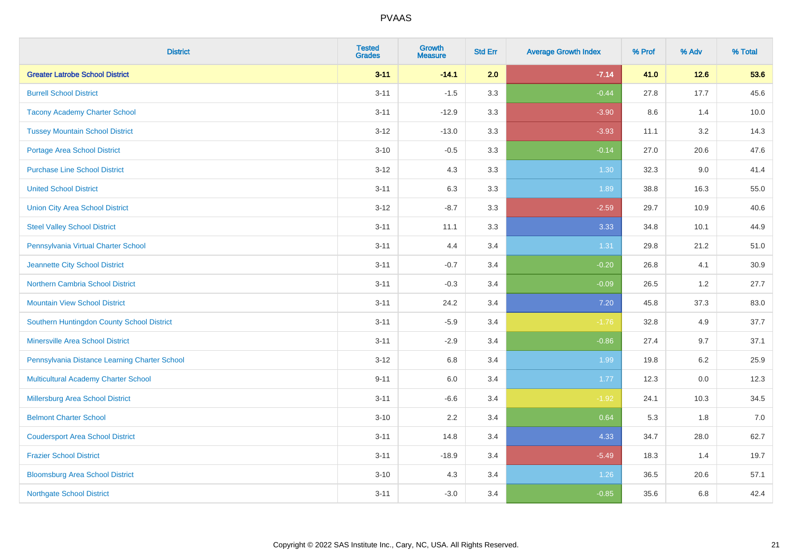| <b>District</b>                               | <b>Tested</b><br><b>Grades</b> | Growth<br><b>Measure</b> | <b>Std Err</b> | <b>Average Growth Index</b> | % Prof | % Adv   | % Total |
|-----------------------------------------------|--------------------------------|--------------------------|----------------|-----------------------------|--------|---------|---------|
| <b>Greater Latrobe School District</b>        | $3 - 11$                       | $-14.1$                  | 2.0            | $-7.14$                     | 41.0   | $12.6$  | 53.6    |
| <b>Burrell School District</b>                | $3 - 11$                       | $-1.5$                   | 3.3            | $-0.44$                     | 27.8   | 17.7    | 45.6    |
| <b>Tacony Academy Charter School</b>          | $3 - 11$                       | $-12.9$                  | 3.3            | $-3.90$                     | 8.6    | 1.4     | 10.0    |
| <b>Tussey Mountain School District</b>        | $3 - 12$                       | $-13.0$                  | 3.3            | $-3.93$                     | 11.1   | 3.2     | 14.3    |
| <b>Portage Area School District</b>           | $3 - 10$                       | $-0.5$                   | 3.3            | $-0.14$                     | 27.0   | 20.6    | 47.6    |
| <b>Purchase Line School District</b>          | $3 - 12$                       | 4.3                      | 3.3            | 1.30                        | 32.3   | 9.0     | 41.4    |
| <b>United School District</b>                 | $3 - 11$                       | 6.3                      | 3.3            | 1.89                        | 38.8   | 16.3    | 55.0    |
| <b>Union City Area School District</b>        | $3 - 12$                       | $-8.7$                   | 3.3            | $-2.59$                     | 29.7   | 10.9    | 40.6    |
| <b>Steel Valley School District</b>           | $3 - 11$                       | 11.1                     | 3.3            | 3.33                        | 34.8   | 10.1    | 44.9    |
| Pennsylvania Virtual Charter School           | $3 - 11$                       | 4.4                      | 3.4            | 1.31                        | 29.8   | 21.2    | 51.0    |
| Jeannette City School District                | $3 - 11$                       | $-0.7$                   | 3.4            | $-0.20$                     | 26.8   | 4.1     | 30.9    |
| <b>Northern Cambria School District</b>       | $3 - 11$                       | $-0.3$                   | 3.4            | $-0.09$                     | 26.5   | 1.2     | 27.7    |
| <b>Mountain View School District</b>          | $3 - 11$                       | 24.2                     | 3.4            | $7.20$                      | 45.8   | 37.3    | 83.0    |
| Southern Huntingdon County School District    | $3 - 11$                       | $-5.9$                   | 3.4            | $-1.76$                     | 32.8   | 4.9     | 37.7    |
| <b>Minersville Area School District</b>       | $3 - 11$                       | $-2.9$                   | 3.4            | $-0.86$                     | 27.4   | 9.7     | 37.1    |
| Pennsylvania Distance Learning Charter School | $3 - 12$                       | 6.8                      | 3.4            | 1.99                        | 19.8   | $6.2\,$ | 25.9    |
| <b>Multicultural Academy Charter School</b>   | $9 - 11$                       | 6.0                      | 3.4            | 1.77                        | 12.3   | 0.0     | 12.3    |
| Millersburg Area School District              | $3 - 11$                       | $-6.6$                   | 3.4            | $-1.92$                     | 24.1   | 10.3    | 34.5    |
| <b>Belmont Charter School</b>                 | $3 - 10$                       | 2.2                      | 3.4            | 0.64                        | 5.3    | 1.8     | $7.0$   |
| <b>Coudersport Area School District</b>       | $3 - 11$                       | 14.8                     | 3.4            | 4.33                        | 34.7   | 28.0    | 62.7    |
| <b>Frazier School District</b>                | $3 - 11$                       | $-18.9$                  | 3.4            | $-5.49$                     | 18.3   | 1.4     | 19.7    |
| <b>Bloomsburg Area School District</b>        | $3 - 10$                       | 4.3                      | 3.4            | 1.26                        | 36.5   | 20.6    | 57.1    |
| <b>Northgate School District</b>              | $3 - 11$                       | $-3.0$                   | 3.4            | $-0.85$                     | 35.6   | 6.8     | 42.4    |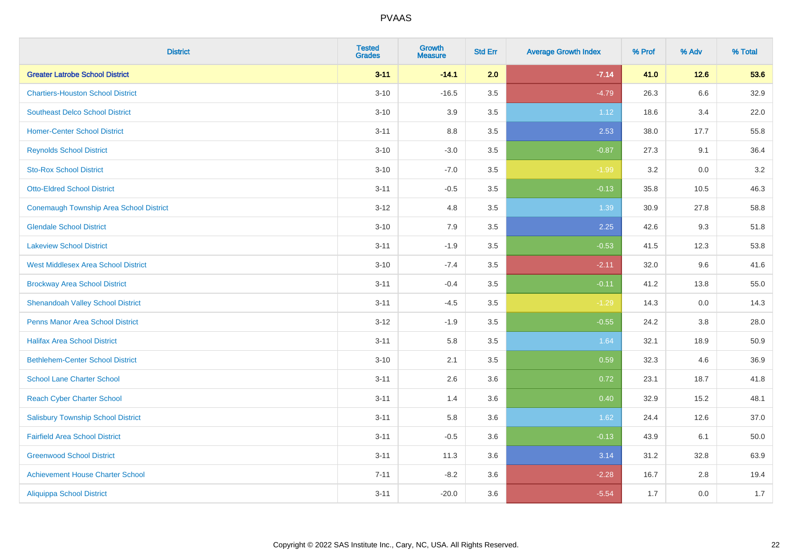| <b>District</b>                            | <b>Tested</b><br><b>Grades</b> | <b>Growth</b><br><b>Measure</b> | <b>Std Err</b> | <b>Average Growth Index</b> | % Prof | % Adv | % Total |
|--------------------------------------------|--------------------------------|---------------------------------|----------------|-----------------------------|--------|-------|---------|
| <b>Greater Latrobe School District</b>     | $3 - 11$                       | $-14.1$                         | 2.0            | $-7.14$                     | 41.0   | 12.6  | 53.6    |
| <b>Chartiers-Houston School District</b>   | $3 - 10$                       | $-16.5$                         | 3.5            | $-4.79$                     | 26.3   | 6.6   | 32.9    |
| <b>Southeast Delco School District</b>     | $3 - 10$                       | 3.9                             | 3.5            | 1.12                        | 18.6   | 3.4   | 22.0    |
| <b>Homer-Center School District</b>        | $3 - 11$                       | $8.8\,$                         | 3.5            | 2.53                        | 38.0   | 17.7  | 55.8    |
| <b>Reynolds School District</b>            | $3 - 10$                       | $-3.0$                          | 3.5            | $-0.87$                     | 27.3   | 9.1   | 36.4    |
| <b>Sto-Rox School District</b>             | $3 - 10$                       | $-7.0$                          | 3.5            | $-1.99$                     | 3.2    | 0.0   | 3.2     |
| <b>Otto-Eldred School District</b>         | $3 - 11$                       | $-0.5$                          | 3.5            | $-0.13$                     | 35.8   | 10.5  | 46.3    |
| Conemaugh Township Area School District    | $3 - 12$                       | 4.8                             | 3.5            | 1.39                        | 30.9   | 27.8  | 58.8    |
| <b>Glendale School District</b>            | $3 - 10$                       | 7.9                             | 3.5            | 2.25                        | 42.6   | 9.3   | 51.8    |
| <b>Lakeview School District</b>            | $3 - 11$                       | $-1.9$                          | 3.5            | $-0.53$                     | 41.5   | 12.3  | 53.8    |
| <b>West Middlesex Area School District</b> | $3 - 10$                       | $-7.4$                          | 3.5            | $-2.11$                     | 32.0   | 9.6   | 41.6    |
| <b>Brockway Area School District</b>       | $3 - 11$                       | $-0.4$                          | 3.5            | $-0.11$                     | 41.2   | 13.8  | 55.0    |
| <b>Shenandoah Valley School District</b>   | $3 - 11$                       | $-4.5$                          | 3.5            | $-1.29$                     | 14.3   | 0.0   | 14.3    |
| <b>Penns Manor Area School District</b>    | $3 - 12$                       | $-1.9$                          | 3.5            | $-0.55$                     | 24.2   | 3.8   | 28.0    |
| <b>Halifax Area School District</b>        | $3 - 11$                       | 5.8                             | 3.5            | 1.64                        | 32.1   | 18.9  | 50.9    |
| <b>Bethlehem-Center School District</b>    | $3 - 10$                       | 2.1                             | 3.5            | 0.59                        | 32.3   | 4.6   | 36.9    |
| <b>School Lane Charter School</b>          | $3 - 11$                       | 2.6                             | 3.6            | 0.72                        | 23.1   | 18.7  | 41.8    |
| <b>Reach Cyber Charter School</b>          | $3 - 11$                       | 1.4                             | 3.6            | 0.40                        | 32.9   | 15.2  | 48.1    |
| <b>Salisbury Township School District</b>  | $3 - 11$                       | 5.8                             | 3.6            | 1.62                        | 24.4   | 12.6  | 37.0    |
| <b>Fairfield Area School District</b>      | $3 - 11$                       | $-0.5$                          | 3.6            | $-0.13$                     | 43.9   | 6.1   | 50.0    |
| <b>Greenwood School District</b>           | $3 - 11$                       | 11.3                            | 3.6            | 3.14                        | 31.2   | 32.8  | 63.9    |
| <b>Achievement House Charter School</b>    | $7 - 11$                       | $-8.2$                          | 3.6            | $-2.28$                     | 16.7   | 2.8   | 19.4    |
| <b>Aliquippa School District</b>           | $3 - 11$                       | $-20.0$                         | 3.6            | $-5.54$                     | 1.7    | 0.0   | 1.7     |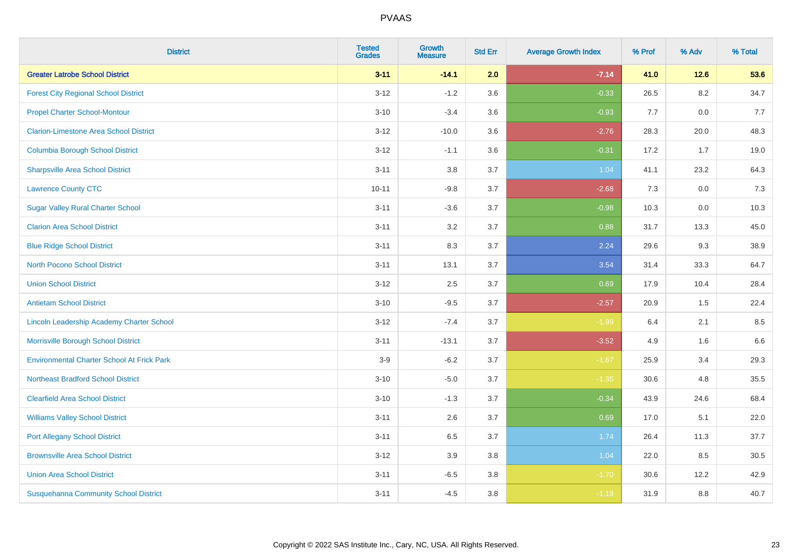| <b>District</b>                                   | <b>Tested</b><br><b>Grades</b> | Growth<br><b>Measure</b> | <b>Std Err</b> | <b>Average Growth Index</b> | % Prof | % Adv  | % Total |
|---------------------------------------------------|--------------------------------|--------------------------|----------------|-----------------------------|--------|--------|---------|
| <b>Greater Latrobe School District</b>            | $3 - 11$                       | $-14.1$                  | 2.0            | $-7.14$                     | 41.0   | $12.6$ | 53.6    |
| <b>Forest City Regional School District</b>       | $3 - 12$                       | $-1.2$                   | 3.6            | $-0.33$                     | 26.5   | 8.2    | 34.7    |
| <b>Propel Charter School-Montour</b>              | $3 - 10$                       | $-3.4$                   | 3.6            | $-0.93$                     | 7.7    | 0.0    | 7.7     |
| <b>Clarion-Limestone Area School District</b>     | $3 - 12$                       | $-10.0$                  | 3.6            | $-2.76$                     | 28.3   | 20.0   | 48.3    |
| <b>Columbia Borough School District</b>           | $3 - 12$                       | $-1.1$                   | 3.6            | $-0.31$                     | 17.2   | 1.7    | 19.0    |
| <b>Sharpsville Area School District</b>           | $3 - 11$                       | $3.8\,$                  | 3.7            | 1.04                        | 41.1   | 23.2   | 64.3    |
| <b>Lawrence County CTC</b>                        | $10 - 11$                      | $-9.8$                   | 3.7            | $-2.68$                     | 7.3    | 0.0    | 7.3     |
| <b>Sugar Valley Rural Charter School</b>          | $3 - 11$                       | $-3.6$                   | 3.7            | $-0.98$                     | 10.3   | 0.0    | 10.3    |
| <b>Clarion Area School District</b>               | $3 - 11$                       | 3.2                      | 3.7            | 0.88                        | 31.7   | 13.3   | 45.0    |
| <b>Blue Ridge School District</b>                 | $3 - 11$                       | 8.3                      | 3.7            | 2.24                        | 29.6   | 9.3    | 38.9    |
| <b>North Pocono School District</b>               | $3 - 11$                       | 13.1                     | 3.7            | 3.54                        | 31.4   | 33.3   | 64.7    |
| <b>Union School District</b>                      | $3 - 12$                       | 2.5                      | 3.7            | 0.69                        | 17.9   | 10.4   | 28.4    |
| <b>Antietam School District</b>                   | $3 - 10$                       | $-9.5$                   | 3.7            | $-2.57$                     | 20.9   | 1.5    | 22.4    |
| Lincoln Leadership Academy Charter School         | $3 - 12$                       | $-7.4$                   | 3.7            | $-1.99$                     | 6.4    | 2.1    | 8.5     |
| Morrisville Borough School District               | $3 - 11$                       | $-13.1$                  | 3.7            | $-3.52$                     | 4.9    | 1.6    | 6.6     |
| <b>Environmental Charter School At Frick Park</b> | $3-9$                          | $-6.2$                   | 3.7            | $-1.67$                     | 25.9   | 3.4    | 29.3    |
| <b>Northeast Bradford School District</b>         | $3 - 10$                       | $-5.0$                   | 3.7            | $-1.35$                     | 30.6   | 4.8    | 35.5    |
| <b>Clearfield Area School District</b>            | $3 - 10$                       | $-1.3$                   | 3.7            | $-0.34$                     | 43.9   | 24.6   | 68.4    |
| <b>Williams Valley School District</b>            | $3 - 11$                       | 2.6                      | 3.7            | 0.69                        | 17.0   | 5.1    | 22.0    |
| <b>Port Allegany School District</b>              | $3 - 11$                       | 6.5                      | 3.7            | 1.74                        | 26.4   | 11.3   | 37.7    |
| <b>Brownsville Area School District</b>           | $3 - 12$                       | 3.9                      | 3.8            | 1.04                        | 22.0   | 8.5    | 30.5    |
| <b>Union Area School District</b>                 | $3 - 11$                       | $-6.5$                   | 3.8            | $-1.70$                     | 30.6   | 12.2   | 42.9    |
| <b>Susquehanna Community School District</b>      | $3 - 11$                       | $-4.5$                   | 3.8            | $-1.19$                     | 31.9   | 8.8    | 40.7    |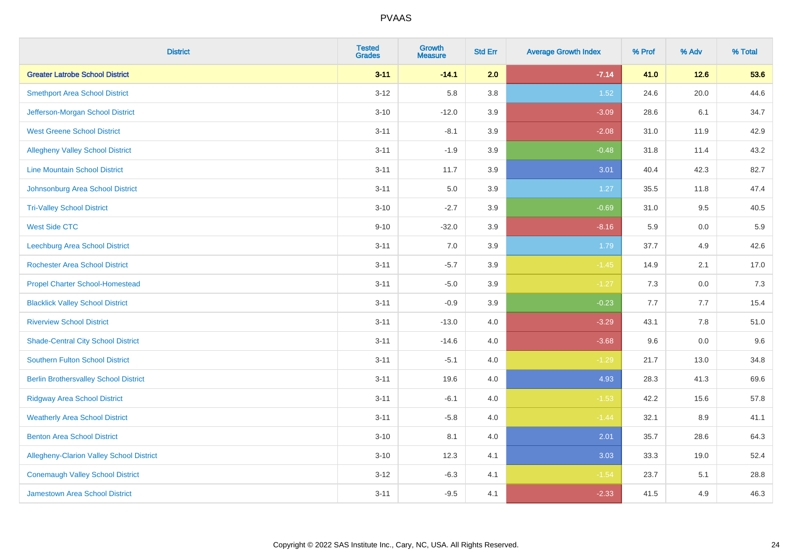| <b>District</b>                              | <b>Tested</b><br><b>Grades</b> | <b>Growth</b><br><b>Measure</b> | <b>Std Err</b> | <b>Average Growth Index</b> | % Prof | % Adv   | % Total |
|----------------------------------------------|--------------------------------|---------------------------------|----------------|-----------------------------|--------|---------|---------|
| <b>Greater Latrobe School District</b>       | $3 - 11$                       | $-14.1$                         | 2.0            | $-7.14$                     | 41.0   | $12.6$  | 53.6    |
| <b>Smethport Area School District</b>        | $3 - 12$                       | 5.8                             | 3.8            | 1.52                        | 24.6   | 20.0    | 44.6    |
| Jefferson-Morgan School District             | $3 - 10$                       | $-12.0$                         | 3.9            | $-3.09$                     | 28.6   | 6.1     | 34.7    |
| <b>West Greene School District</b>           | $3 - 11$                       | $-8.1$                          | 3.9            | $-2.08$                     | 31.0   | 11.9    | 42.9    |
| <b>Allegheny Valley School District</b>      | $3 - 11$                       | $-1.9$                          | 3.9            | $-0.48$                     | 31.8   | 11.4    | 43.2    |
| <b>Line Mountain School District</b>         | $3 - 11$                       | 11.7                            | 3.9            | 3.01                        | 40.4   | 42.3    | 82.7    |
| Johnsonburg Area School District             | $3 - 11$                       | 5.0                             | 3.9            | 1.27                        | 35.5   | 11.8    | 47.4    |
| <b>Tri-Valley School District</b>            | $3 - 10$                       | $-2.7$                          | 3.9            | $-0.69$                     | 31.0   | 9.5     | 40.5    |
| <b>West Side CTC</b>                         | $9 - 10$                       | $-32.0$                         | 3.9            | $-8.16$                     | 5.9    | 0.0     | 5.9     |
| <b>Leechburg Area School District</b>        | $3 - 11$                       | 7.0                             | 3.9            | 1.79                        | 37.7   | 4.9     | 42.6    |
| <b>Rochester Area School District</b>        | $3 - 11$                       | $-5.7$                          | 3.9            | $-1.45$                     | 14.9   | 2.1     | 17.0    |
| <b>Propel Charter School-Homestead</b>       | $3 - 11$                       | $-5.0$                          | 3.9            | $-1.27$                     | 7.3    | 0.0     | 7.3     |
| <b>Blacklick Valley School District</b>      | $3 - 11$                       | $-0.9$                          | 3.9            | $-0.23$                     | 7.7    | 7.7     | 15.4    |
| <b>Riverview School District</b>             | $3 - 11$                       | $-13.0$                         | $4.0\,$        | $-3.29$                     | 43.1   | $7.8\,$ | 51.0    |
| <b>Shade-Central City School District</b>    | $3 - 11$                       | $-14.6$                         | 4.0            | $-3.68$                     | 9.6    | 0.0     | 9.6     |
| <b>Southern Fulton School District</b>       | $3 - 11$                       | $-5.1$                          | $4.0\,$        | $-1.29$                     | 21.7   | 13.0    | 34.8    |
| <b>Berlin Brothersvalley School District</b> | $3 - 11$                       | 19.6                            | 4.0            | 4.93                        | 28.3   | 41.3    | 69.6    |
| <b>Ridgway Area School District</b>          | $3 - 11$                       | $-6.1$                          | 4.0            | $-1.53$                     | 42.2   | 15.6    | 57.8    |
| <b>Weatherly Area School District</b>        | $3 - 11$                       | $-5.8$                          | $4.0\,$        | $-1.44$                     | 32.1   | $8.9\,$ | 41.1    |
| <b>Benton Area School District</b>           | $3 - 10$                       | 8.1                             | $4.0\,$        | 2.01                        | 35.7   | 28.6    | 64.3    |
| Allegheny-Clarion Valley School District     | $3 - 10$                       | 12.3                            | 4.1            | 3.03                        | 33.3   | 19.0    | 52.4    |
| <b>Conemaugh Valley School District</b>      | $3 - 12$                       | $-6.3$                          | 4.1            | $-1.54$                     | 23.7   | 5.1     | 28.8    |
| Jamestown Area School District               | $3 - 11$                       | $-9.5$                          | 4.1            | $-2.33$                     | 41.5   | 4.9     | 46.3    |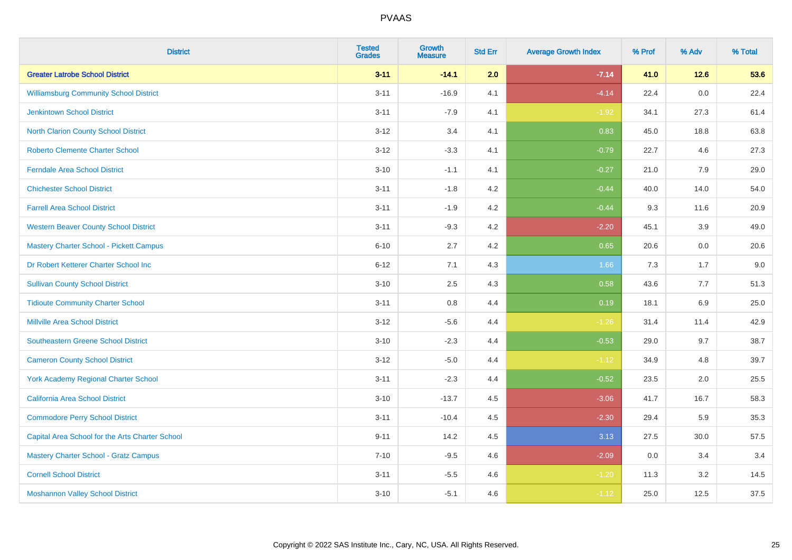| <b>District</b>                                 | <b>Tested</b><br><b>Grades</b> | Growth<br><b>Measure</b> | <b>Std Err</b> | <b>Average Growth Index</b> | % Prof | % Adv  | % Total |
|-------------------------------------------------|--------------------------------|--------------------------|----------------|-----------------------------|--------|--------|---------|
| <b>Greater Latrobe School District</b>          | $3 - 11$                       | $-14.1$                  | 2.0            | $-7.14$                     | 41.0   | $12.6$ | 53.6    |
| <b>Williamsburg Community School District</b>   | $3 - 11$                       | $-16.9$                  | 4.1            | $-4.14$                     | 22.4   | 0.0    | 22.4    |
| <b>Jenkintown School District</b>               | $3 - 11$                       | $-7.9$                   | 4.1            | $-1.92$                     | 34.1   | 27.3   | 61.4    |
| North Clarion County School District            | $3 - 12$                       | 3.4                      | 4.1            | 0.83                        | 45.0   | 18.8   | 63.8    |
| <b>Roberto Clemente Charter School</b>          | $3 - 12$                       | $-3.3$                   | 4.1            | $-0.79$                     | 22.7   | 4.6    | 27.3    |
| <b>Ferndale Area School District</b>            | $3 - 10$                       | $-1.1$                   | 4.1            | $-0.27$                     | 21.0   | 7.9    | 29.0    |
| <b>Chichester School District</b>               | $3 - 11$                       | $-1.8$                   | 4.2            | $-0.44$                     | 40.0   | 14.0   | 54.0    |
| <b>Farrell Area School District</b>             | $3 - 11$                       | $-1.9$                   | 4.2            | $-0.44$                     | 9.3    | 11.6   | 20.9    |
| <b>Western Beaver County School District</b>    | $3 - 11$                       | $-9.3$                   | 4.2            | $-2.20$                     | 45.1   | 3.9    | 49.0    |
| <b>Mastery Charter School - Pickett Campus</b>  | $6 - 10$                       | 2.7                      | 4.2            | 0.65                        | 20.6   | 0.0    | 20.6    |
| Dr Robert Ketterer Charter School Inc           | $6 - 12$                       | 7.1                      | 4.3            | 1.66                        | 7.3    | 1.7    | 9.0     |
| <b>Sullivan County School District</b>          | $3 - 10$                       | 2.5                      | 4.3            | 0.58                        | 43.6   | 7.7    | 51.3    |
| <b>Tidioute Community Charter School</b>        | $3 - 11$                       | 0.8                      | 4.4            | 0.19                        | 18.1   | 6.9    | 25.0    |
| <b>Millville Area School District</b>           | $3 - 12$                       | $-5.6$                   | 4.4            | $-1.26$                     | 31.4   | 11.4   | 42.9    |
| <b>Southeastern Greene School District</b>      | $3 - 10$                       | $-2.3$                   | 4.4            | $-0.53$                     | 29.0   | 9.7    | 38.7    |
| <b>Cameron County School District</b>           | $3 - 12$                       | $-5.0$                   | 4.4            | $-1.12$                     | 34.9   | 4.8    | 39.7    |
| <b>York Academy Regional Charter School</b>     | $3 - 11$                       | $-2.3$                   | 4.4            | $-0.52$                     | 23.5   | 2.0    | 25.5    |
| California Area School District                 | $3 - 10$                       | $-13.7$                  | 4.5            | $-3.06$                     | 41.7   | 16.7   | 58.3    |
| <b>Commodore Perry School District</b>          | $3 - 11$                       | $-10.4$                  | 4.5            | $-2.30$                     | 29.4   | 5.9    | 35.3    |
| Capital Area School for the Arts Charter School | $9 - 11$                       | 14.2                     | 4.5            | 3.13                        | 27.5   | 30.0   | 57.5    |
| <b>Mastery Charter School - Gratz Campus</b>    | $7 - 10$                       | $-9.5$                   | 4.6            | $-2.09$                     | 0.0    | 3.4    | 3.4     |
| <b>Cornell School District</b>                  | $3 - 11$                       | $-5.5$                   | 4.6            | $-1.20$                     | 11.3   | 3.2    | 14.5    |
| <b>Moshannon Valley School District</b>         | $3 - 10$                       | $-5.1$                   | 4.6            | $-1.12$                     | 25.0   | 12.5   | 37.5    |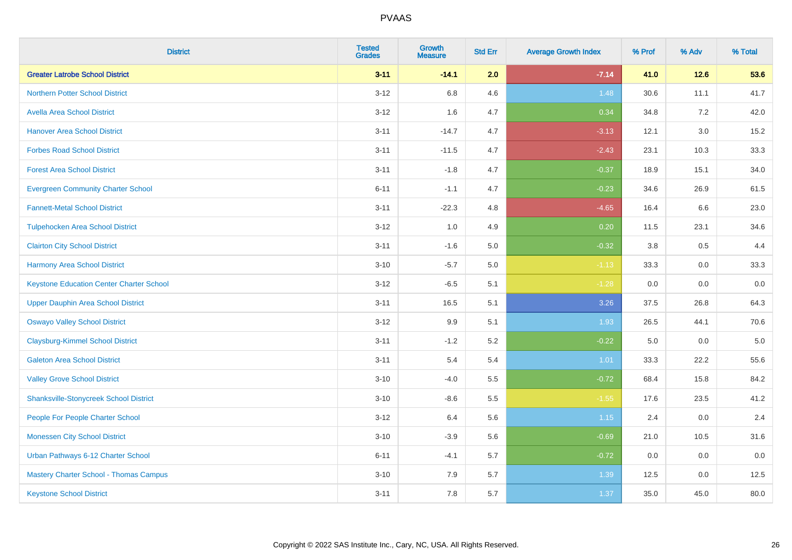| <b>District</b>                                 | <b>Tested</b><br><b>Grades</b> | Growth<br><b>Measure</b> | <b>Std Err</b> | <b>Average Growth Index</b> | % Prof | % Adv   | % Total |
|-------------------------------------------------|--------------------------------|--------------------------|----------------|-----------------------------|--------|---------|---------|
| <b>Greater Latrobe School District</b>          | $3 - 11$                       | $-14.1$                  | 2.0            | $-7.14$                     | 41.0   | $12.6$  | 53.6    |
| <b>Northern Potter School District</b>          | $3 - 12$                       | 6.8                      | 4.6            | 1.48                        | 30.6   | 11.1    | 41.7    |
| <b>Avella Area School District</b>              | $3 - 12$                       | 1.6                      | 4.7            | 0.34                        | 34.8   | 7.2     | 42.0    |
| <b>Hanover Area School District</b>             | $3 - 11$                       | $-14.7$                  | 4.7            | $-3.13$                     | 12.1   | $3.0\,$ | 15.2    |
| <b>Forbes Road School District</b>              | $3 - 11$                       | $-11.5$                  | 4.7            | $-2.43$                     | 23.1   | 10.3    | 33.3    |
| <b>Forest Area School District</b>              | $3 - 11$                       | $-1.8$                   | 4.7            | $-0.37$                     | 18.9   | 15.1    | 34.0    |
| <b>Evergreen Community Charter School</b>       | $6 - 11$                       | $-1.1$                   | 4.7            | $-0.23$                     | 34.6   | 26.9    | 61.5    |
| <b>Fannett-Metal School District</b>            | $3 - 11$                       | $-22.3$                  | 4.8            | $-4.65$                     | 16.4   | 6.6     | 23.0    |
| <b>Tulpehocken Area School District</b>         | $3 - 12$                       | 1.0                      | 4.9            | 0.20                        | 11.5   | 23.1    | 34.6    |
| <b>Clairton City School District</b>            | $3 - 11$                       | $-1.6$                   | 5.0            | $-0.32$                     | 3.8    | 0.5     | 4.4     |
| <b>Harmony Area School District</b>             | $3 - 10$                       | $-5.7$                   | 5.0            | $-1.13$                     | 33.3   | 0.0     | 33.3    |
| <b>Keystone Education Center Charter School</b> | $3-12$                         | $-6.5$                   | 5.1            | $-1.28$                     | 0.0    | 0.0     | 0.0     |
| <b>Upper Dauphin Area School District</b>       | $3 - 11$                       | 16.5                     | 5.1            | 3.26                        | 37.5   | 26.8    | 64.3    |
| <b>Oswayo Valley School District</b>            | $3 - 12$                       | 9.9                      | 5.1            | 1.93                        | 26.5   | 44.1    | 70.6    |
| <b>Claysburg-Kimmel School District</b>         | $3 - 11$                       | $-1.2$                   | 5.2            | $-0.22$                     | 5.0    | 0.0     | $5.0$   |
| <b>Galeton Area School District</b>             | $3 - 11$                       | 5.4                      | 5.4            | 1.01                        | 33.3   | 22.2    | 55.6    |
| <b>Valley Grove School District</b>             | $3 - 10$                       | $-4.0$                   | 5.5            | $-0.72$                     | 68.4   | 15.8    | 84.2    |
| <b>Shanksville-Stonycreek School District</b>   | $3 - 10$                       | $-8.6$                   | 5.5            | $-1.55$                     | 17.6   | 23.5    | 41.2    |
| People For People Charter School                | $3-12$                         | 6.4                      | 5.6            | 1.15                        | 2.4    | $0.0\,$ | 2.4     |
| <b>Monessen City School District</b>            | $3 - 10$                       | $-3.9$                   | 5.6            | $-0.69$                     | 21.0   | 10.5    | 31.6    |
| Urban Pathways 6-12 Charter School              | $6 - 11$                       | $-4.1$                   | 5.7            | $-0.72$                     | 0.0    | 0.0     | 0.0     |
| Mastery Charter School - Thomas Campus          | $3 - 10$                       | 7.9                      | 5.7            | 1.39                        | 12.5   | $0.0\,$ | 12.5    |
| <b>Keystone School District</b>                 | $3 - 11$                       | 7.8                      | 5.7            | 1.37                        | 35.0   | 45.0    | 80.0    |